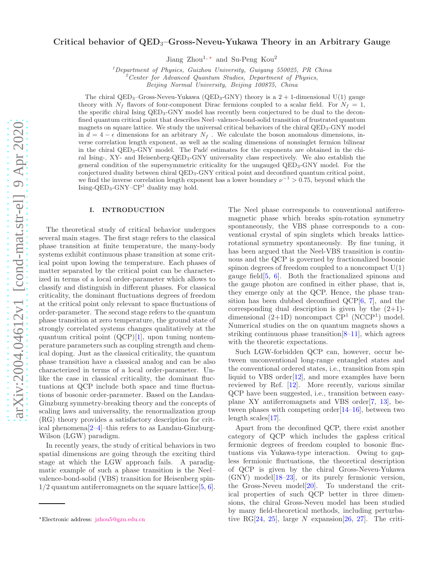# Critical behavior of  $QED_3$ –Gross-Neveu-Yukawa Theory in an Arbitrary Gauge

Jiang Zhou<sup>1,\*</sup> and Su-Peng Kou<sup>2</sup>

 $1$ Department of Physics, Guizhou University, Guiyang 550025, PR China

 $2$ <sup>2</sup> Center for Advanced Quantum Studies, Department of Physics,

Beijing Normal University, Beijing 100875, China

The chiral QED<sub>3</sub>–Gross-Neveu-Yukawa (QED<sub>3</sub>–GNY) theory is a  $2 + 1$ -dimensional U(1) gauge theory with  $N_f$  flavors of four-component Dirac fermions coupled to a scalar field. For  $N_f = 1$ , the specific chiral Ising QED3-GNY model has recently been conjectured to be dual to the deconfined quantum critical point that describes Neel–valence-bond-solid transition of frustrated quantum magnets on square lattice. We study the universal critical behaviors of the chiral QED<sub>3</sub>-GNY model in  $d = 4 - \epsilon$  dimensions for an arbitrary  $N_f$ . We calculate the boson anomalous dimensions, inverse correlation length exponent, as well as the scaling dimensions of nonsinglet fermion bilinear in the chiral QED<sub>3</sub>-GNY model. The Padé estimates for the exponents are obtained in the chiral Ising-, XY- and Heisenberg-QED3-GNY universality class respectively. We also establish the general condition of the supersymmetric criticality for the ungauged QED3-GNY model. For the conjectured duality between chiral QED3-GNY critical point and deconfined quantum critical point, we find the inverse correlation length exponent has a lower boundary  $\nu^{-1} > 0.75$ , beyond which the Ising-QED3-GNY–CP 1 duality may hold.

## I. INTRODUCTION

The theoretical study of critical behavior undergoes several main stages. The first stage refers to the classical phase transition at finite temperature, the many-body systems exhibit continuous phase transition at some critical point upon lowing the temperature. Each phases of matter separated by the critical point can be characterized in terms of a local order-parameter which allows to classify and distinguish in different phases. For classical criticality, the dominant fluctuations degrees of freedom at the critical point only relevant to space fluctuations of order-parameter. The second stage refers to the quantum phase transition at zero temperature, the ground state of strongly correlated systems changes qualitatively at the quantum critical point  $(QCP)[1]$  $(QCP)[1]$  $(QCP)[1]$ , upon tuning nontemperature parameters such as coupling strength and chemical doping. Just as the classical criticality, the quantum phase transition have a classical analog and can be also characterized in terms of a local order-parameter. Unlike the case in classical criticality, the dominant fluctuations at QCP include both space and time fluctuations of bosonic order-parameter. Based on the Landau-Ginzburg symmetry-breaking theory and the concepts of scaling laws and universality, the renormalization group (RG) theory provides a satisfactory description for critical phenomena[\[2](#page-12-1)[–4\]](#page-12-2)–this refers to as Landau-Ginzburg-Wilson (LGW) paradigm.

In recently years, the study of critical behaviors in two spatial dimensions are going through the exciting third stage at which the LGW approach fails. A paradigmatic example of such a phase transition is the Neel– valence-bond-solid (VBS) transition for Heisenberg spin- $1/2$  quantum antiferromagnets on the square lattice  $[5, 6]$  $[5, 6]$  $[5, 6]$ .

The Neel phase corresponds to conventional antiferromagnetic phase which breaks spin-rotation symmetry spontaneously, the VBS phase corresponds to a conventional crystal of spin singlets which breaks latticerotational symmetry spontaneously. By fine tuning, it has been argued that the Neel-VBS transition is continuous and the QCP is governed by fractionalized bosonic spinon degrees of freedom coupled to a noncompact  $U(1)$ gauge field[\[5,](#page-12-3) [6\]](#page-12-4). Both the fractionalized spinons and the gauge photon are confined in either phase, that is, they emerge only at the QCP. Hence, the phase transition has been dubbed deconfined QCP[\[6,](#page-12-4) [7\]](#page-12-5), and the corresponding dual description is given by the  $(2+1)$ dimensional  $(2+1D)$  noncompact  $\mathbb{C}P^1$  (NC $\mathbb{C}P^1$ ) model. Numerical studies on the on quantum magnets shows a striking continuous phase transition  $[8-11]$  $[8-11]$ , which agrees with the theoretic expectations.

Such LGW-forbidden QCP can, however, occur between unconventional long-range entangled states and the conventional ordered states, i.e., transition from spin liquid to VBS order $[12]$ , and more examples have been reviewed by Ref. [\[12](#page-12-8)]. More recently, various similar QCP have been suggested, i.e., transition between easyplane XY antiferromagnets and VBS order[\[7,](#page-12-5) [13\]](#page-12-9), between phases with competing order[\[14](#page-12-10)[–16\]](#page-12-11), between two length scales[\[17\]](#page-12-12).

Apart from the deconfined QCP, there exist another category of QCP which includes the gapless critical fermionic degrees of freedom coupled to bosonic fluctuations via Yukawa-type interaction. Owing to gapless fermionic fluctuations, the theoretical description of QCP is given by the chiral Gross-Neveu-Yukawa (GNY) model[\[18](#page-12-13)[–23](#page-12-14)], or its purely fermionic version, the Gross-Neveu model $[20]$ . To understand the critical properties of such QCP better in three dimensions, the chiral Gross-Neveu model has been studied by many field-theoretical methods, including perturba-tive RG[\[24](#page-12-16), [25\]](#page-12-17), large N expansion[\[26](#page-13-0), [27\]](#page-13-1). The criti-

<span id="page-0-0"></span><sup>∗</sup>Electronic address: [jzhou5@gzu.edu.cn](mailto:jzhou5@gzu.edu.cn)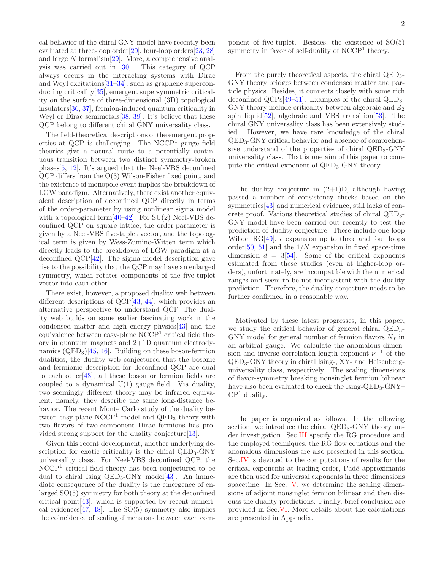cal behavior of the chiral GNY model have recently been evaluated at three-loop order<sup>[\[20\]](#page-12-15)</sup>, four-loop orders<sup>[\[23](#page-12-14), [28](#page-13-2)]</sup> and large N formalism[\[29](#page-13-3)]. More, a comprehensive analysis was carried out in [\[30](#page-13-4)]. This category of QCP always occurs in the interacting systems with Dirac and Weyl excitations[\[31](#page-13-5)[–34\]](#page-13-6), such as graphene superconducting criticality[\[35\]](#page-13-7), emergent supersymmetric criticality on the surface of three-dimensional (3D) topological insulators[\[36,](#page-13-8) [37](#page-13-9)], fermion-induced quantum criticality in Weyl or Dirac semimetals [\[38,](#page-13-10) [39\]](#page-13-11). It's believe that these QCP belong to different chiral GNY universality class.

The field-theoretical descriptions of the emergent properties at QCP is challenging. The NCCP <sup>1</sup> gauge field theories give a natural route to a potentially continuous transition between two distinct symmetry-broken phases[\[5](#page-12-3), [12\]](#page-12-8). It's argued that the Neel-VBS deconfined QCP differs from the O(3) Wilson-Fisher fixed point, and the existence of monopole event implies the breakdown of LGW paradigm. Alternatively, there exist another equivalent description of deconfined QCP directly in terms of the order-parameter by using nonlinear sigma model with a topological term $[40-42]$  $[40-42]$ . For SU(2) Neel-VBS deconfined QCP on square lattice, the order-parameter is given by a Neel-VBS five-tuplet vector, and the topological term is given by Wess-Zumino-Witten term which directly leads to the breakdown of LGW paradigm at a deconfined QCP[\[42](#page-13-13)]. The sigma model description gave rise to the possibility that the QCP may have an enlarged symmetry, which rotates components of the five-tuplet vector into each other.

There exist, however, a proposed duality web between different descriptions of QCP[\[43,](#page-13-14) [44](#page-13-15)], which provides an alternative perspective to understand QCP. The duality web builds on some earlier fascinating work in the condensed matter and high energy physics[\[43\]](#page-13-14) and the equivalence between easy-plane NCCP<sup>1</sup> critical field theory in quantum magnets and 2+1D quantum electrodynamics  $(QED_3)[45, 46]$  $(QED_3)[45, 46]$  $(QED_3)[45, 46]$  $(QED_3)[45, 46]$ . Building on these boson-fermion dualities, the duality web conjectured that the bosonic and fermionic description for deconfined QCP are dual to each other[\[43\]](#page-13-14), all these boson or fermion fields are coupled to a dynamical  $U(1)$  gauge field. Via duality, two seemingly different theory may be infrared equivalent, namely, they describe the same long-distance behavior. The recent Monte Carlo study of the duality between easy-plane  $NCCP<sup>1</sup>$  model and  $QED<sub>3</sub>$  theory with two flavors of two-component Dirac fermions has provided strong support for the duality conjecture[\[13\]](#page-12-9).

Given this recent development, another underlying description for exotic criticality is the chiral  $QED_3$ -GNY universality class. For Neel-VBS deconfined QCP, the NCCP<sup>1</sup> critical field theory has been conjectured to be dual to chiral Ising  $QED_3$ -GNY model [\[43\]](#page-13-14). An immediate consequence of the duality is the emergence of enlarged SO(5) symmetry for both theory at the deconfined critical point[\[43](#page-13-14)], which is supported by recent numeri-cal evidences [\[47](#page-13-18), [48\]](#page-13-19). The  $SO(5)$  symmetry also implies the coincidence of scaling dimensions between each component of five-tuplet. Besides, the existence of SO(5) symmetry in favor of self-duality of  $NCCP<sup>1</sup>$  theory.

From the purely theoretical aspects, the chiral QED3- GNY theory bridges between condensed matter and particle physics. Besides, it connects closely with some rich deconfined QCPs[ $49-51$ ]. Examples of the chiral QED<sub>3</sub>-GNY theory include criticality between algebraic and  $Z_2$ spin liquid[\[52\]](#page-13-22), algebraic and VBS transition[\[53](#page-13-23)]. The chiral GNY universality class has been extensively studied. However, we have rare knowledge of the chiral QED3-GNY critical behavior and absence of comprehensive understand of the properties of chiral  $QED_3$ -GNY universality class. That is one aim of this paper to compute the critical exponent of  $QED_3$ -GNY theory.

The duality conjecture in  $(2+1)D$ , although having passed a number of consistency checks based on the symmetries [\[43\]](#page-13-14) and numerical evidence, still lacks of concrete proof. Various theoretical studies of chiral QED3- GNY model have been carried out recently to test the prediction of duality conjecture. These include one-loop Wilson RG[\[49\]](#page-13-20),  $\epsilon$  expansion up to three and four loops order<sup>[\[50,](#page-13-24) [51\]](#page-13-21)</sup> and the  $1/N$  expansion in fixed space-time dimension  $d = 3[54]$  $d = 3[54]$  $d = 3[54]$ . Some of the critical exponents estimated from these studies (even at higher-loop orders), unfortunately, are incompatible with the numerical ranges and seem to be not inconsistent with the duality prediction. Therefore, the duality conjecture needs to be further confirmed in a reasonable way.

Motivated by these latest progresses, in this paper, we study the critical behavior of general chiral QED3- GNY model for general number of fermion flavors  $N_f$  in an arbitral gauge. We calculate the anomalous dimension and inverse correlation length exponent  $\nu^{-1}$  of the QED3-GNY theory in chiral Ising-, XY- and Heisenberguniversality class, respectively. The scaling dimensions of flavor-symmetry breaking nonsinglet fermion bilinear have also been evaluated to check the  $Ising-QED_3-GNY \mathbb{C}\mathrm{P}^1$  duality.

The paper is organized as follows. In the following section, we introduce the chiral  $QED_3$ -GNY theory under investigation. Sec[.III](#page-3-0) specify the RG procedure and the employed techniques, the RG flow equations and the anomalous dimensions are also presented in this section. Sec[.IV](#page-5-0) is devoted to the computations of results for the critical exponents at leading order, Padé approximants are then used for universal exponents in three dimensions spacetime. In Sec. [V,](#page-7-0) we determine the scaling dimensions of adjoint nonsinglet fermion bilinear and then discuss the duality predictions. Finally, brief conclusion are provided in Sec[.VI.](#page-8-0) More details about the calculations are presented in Appendix.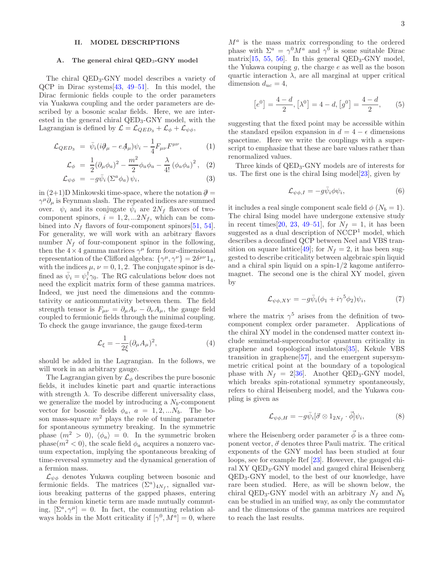# II. MODEL DESCRIPTIONS

#### A. The general chiral QED<sub>3</sub>-GNY model

The chiral QED3-GNY model describes a variety of QCP in Dirac systems[\[43,](#page-13-14) [49](#page-13-20)[–51](#page-13-21)]. In this model, the Dirac fermionic fields couple to the order parameters via Yuakawa coupling and the order parameters are described by a bosonic scalar fields. Here, we are interested in the general chiral QED3-GNY model, with the Lagrangian is defined by  $\mathcal{L} = \mathcal{L}_{QED_3} + \mathcal{L}_{\phi} + \mathcal{L}_{\psi\phi}$ ,

<span id="page-2-0"></span>
$$
\mathcal{L}_{QED_3} = \bar{\psi}_i (i\partial_\mu - eA_\mu)\psi_i - \frac{1}{4}F_{\mu\nu}F^{\mu\nu}, \qquad (1)
$$

$$
\mathcal{L}_{\phi} = \frac{1}{2} (\partial_{\mu} \phi_{a})^{2} - \frac{m^{2}}{2} \phi_{a} \phi_{a} - \frac{\lambda}{4!} (\phi_{a} \phi_{a})^{2}, \quad (2)
$$

$$
\mathcal{L}_{\psi\phi} = -g\bar{\psi}_i\left(\Sigma^a\phi_a\right)\psi_i,\tag{3}
$$

in  $(2+1)$ D Minkowski time-space, where the notation  $\partial$  =  $\gamma^{\mu}\partial_{\mu}$  is Feynman slash. The repeated indices are summed over.  $\psi_i$  and its conjugate  $\overline{\psi}_i$  are  $2N_f$  flavors of twocomponent spinors,  $i = 1, 2, ... 2N_f$ , which can be combined into  $N_f$  flavors of four-component spinors [\[51](#page-13-21), [54\]](#page-13-25). For generality, we will work with an arbitrary flavors number  $N_f$  of four-component spinor in the following, then the  $4 \times 4$  gamma matrices  $\gamma^{\mu}$  form four-dimensional representation of the Clifford algebra:  $\{\gamma^{\mu}, \gamma^{\nu}\} = 2\delta^{\mu\nu}\mathbb{1}_4$ , with the indices  $\mu$ ,  $\nu = 0, 1, 2$ . The conjugate spinor is defined as  $\bar{\psi}_i = \psi_i^{\dagger} \gamma_0$ . The RG calculations below does not need the explicit matrix form of these gamma matrices. Indeed, we just need the dimensions and the commutativity or anticommutativity between them. The field strength tensor is  $F_{\mu\nu} = \partial_{\mu}A_{\nu} - \partial_{\nu}A_{\mu}$ , the gauge field coupled to fermionic fields through the minimal coupling. To check the gauge invariance, the gauge fixed-term

$$
\mathcal{L}_{\xi} = -\frac{1}{2\xi} (\partial_{\mu} A_{\mu})^2, \tag{4}
$$

should be added in the Lagrangian. In the follows, we will work in an arbitrary gauge.

The Lagrangian given by  $\mathcal{L}_{\phi}$  describes the pure bosonic fields, it includes kinetic part and quartic interactions with strength  $\lambda$ . To describe different universality class, we generalize the model by introducing a  $N_b$ -component vector for bosonic fields  $\phi_a$ ,  $a = 1, 2, ...N_b$ . The boson mass-square  $m^2$  plays the role of tuning parameter for spontaneous symmetry breaking. In the symmetric phase  $(m^2 > 0)$ ,  $\langle \phi_a \rangle = 0$ . In the symmetric broken phase( $m^2$  < 0), the scale field  $\phi_a$  acquires a nonzero vacuum expectation, implying the spontaneous breaking of time-reversal symmetry and the dynamical generation of a fermion mass.

 $\mathcal{L}_{\psi\phi}$  denotes Yukawa coupling between bosonic and fermionic fields. The matrices  $(\Sigma^a)_{4N_f}$ , signalled various breaking patterns of the gapped phases, entering in the fermion kinetic term are made mutually commuting,  $[\Sigma^a, \gamma^\mu] = 0$ . In fact, the commuting relation always holds in the Mott criticality if  $[\gamma^0, M^a] = 0$ , where

 $M^a$  is the mass matrix corresponding to the ordered phase with  $\Sigma^a = \gamma^0 M^a$  and  $\gamma^0$  is some suitable Dirac matrix[\[15,](#page-12-18) [55,](#page-13-26) [56](#page-13-27)]. In this general QED<sub>3</sub>-GNY model, the Yukawa couping  $g$ , the charge  $e$  as well as the boson quartic interaction  $\lambda$ , are all marginal at upper critical dimension  $d_{uc} = 4$ ,

$$
[e^{0}] = \frac{4-d}{2}, [\lambda^{0}] = 4-d, [g^{0}] = \frac{4-d}{2},
$$
 (5)

suggesting that the fixed point may be accessible within the standard epsilon expansion in  $d = 4 - \epsilon$  dimensions spacetime. Here we write the couplings with a superscript to emphasize that these are bare values rather than renormalized values.

Three kinds of  $QED_3$ -GNY models are of interests for us. The first one is the chiral Ising model  $[23]$ , given by

$$
\mathcal{L}_{\psi\phi,I} = -g\bar{\psi}_i\phi\psi_i,\tag{6}
$$

it includes a real single component scale field  $\phi$  ( $N_b = 1$ ). The chiral Ising model have undergone extensive study in recent times [\[20](#page-12-15), [23,](#page-12-14) [49](#page-13-20)[–51\]](#page-13-21), for  $N_f = 1$ , it has been suggested as a dual description of  $N\text{CCP}^1$  model, which describes a deconfined QCP between Neel and VBS tran-sition on square lattice [\[49\]](#page-13-20); for  $N_f = 2$ , it has been suggested to describe criticality between algebraic spin liquid and a chiral spin liquid on a spin-1/2 kagome antiferromagnet. The second one is the chiral XY model, given by

$$
\mathcal{L}_{\psi\phi,XY} = -g\bar{\psi}_i(\phi_1 + i\gamma^5\phi_2)\psi_i,\tag{7}
$$

where the matrix  $\gamma^5$  arises from the definition of twocomponent complex order parameter. Applications of the chiral XY model in the condensed matter context include semimetal-superconductor quantum criticality in graphene and topological insulators[\[35](#page-13-7)], Kekule VBS transition in graphene[\[57](#page-13-28)], and the emergent supersymmetric critical point at the boundary of a topological phase with  $N_f = 2[36]$  $N_f = 2[36]$  $N_f = 2[36]$ . Another QED<sub>3</sub>-GNY model, which breaks spin-rotational symmetry spontaneously, refers to chiral Heisenberg model, and the Yukawa coupling is given as

$$
\mathcal{L}_{\psi\phi,H} = -g\bar{\psi}_i[\vec{\sigma} \otimes 1_{2N_f} \cdot \vec{\phi}]\psi_i, \tag{8}
$$

where the Heisenberg order parameter  $\vec{\phi}$  is a three component vector,  $\vec{\sigma}$  denotes three Pauli matrix. The critical exponents of the GNY model has been studied at four loops, see for example Ref [\[23](#page-12-14)]. However, the gauged chiral XY QED3-GNY model and gauged chiral Heisenberg QED3-GNY model, to the best of our knowledge, have rare been studied. Here, as will be shown below, the chiral QED<sub>3</sub>-GNY model with an arbitrary  $N_f$  and  $N_b$ can be studied in an unified way, as only the commutator and the dimensions of the gamma matrices are required to reach the last results.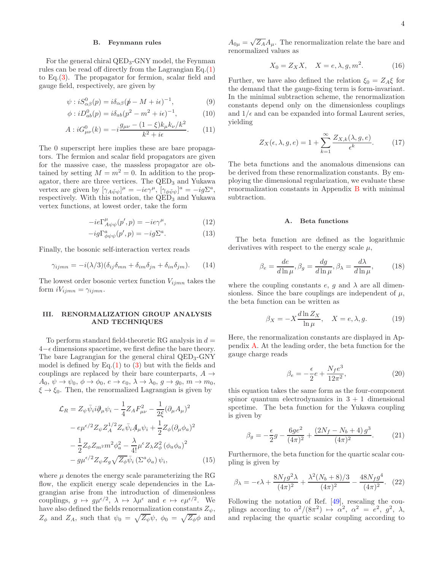### B. Feynmann rules

For the general chiral QED3-GNY model, the Feynman rules can be read off directly from the Lagrangian  $Eq.(1)$  $Eq.(1)$ to Eq.[\(3\)](#page-2-0). The propagator for fermion, scalar field and gauge field, respectively, are given by

$$
\psi : iS^0_{\alpha\beta}(p) = i\delta_{\alpha\beta}(p - M + i\epsilon)^{-1},\tag{9}
$$

$$
\phi : iD^0_{ab}(p) = i\delta_{ab}(p^2 - m^2 + i\epsilon)^{-1},\tag{10}
$$

$$
A: iG^{0}_{\mu\nu}(k) = -i\frac{g_{\mu\nu} - (1 - \xi)k_{\mu}k_{\nu}/k^{2}}{k^{2} + i\epsilon}.
$$
 (11)

The 0 superscript here implies these are bare propagators. The fermion and scalar field propagators are given for the massive case, the massless propagator are obtained by setting  $M = m^2 = 0$ . In addition to the propagator, there are three vertices. The QED<sub>3</sub> and Yukawa vertex are given by  $[\gamma_{A\bar{\psi}\psi}]^{\mu} = -ie\gamma^{\mu}, [\gamma_{\phi\bar{\psi}\psi}]^a = -ig\Sigma^a,$ respectively. With this notation, the  $\overline{QED_3}$  and Yukawa vertex functions, at lowest order, take the form

$$
-ie\Gamma_{A\psi\psi}^{\mu}(p',p) = -ie\gamma^{\mu},\qquad(12)
$$

$$
-ig\Gamma^{a}_{\phi\psi\psi}(p',p) = -ig\Sigma^{a}.
$$
 (13)

Finally, the bosonic self-interaction vertex reads

$$
\gamma_{ijmn} = -i(\lambda/3)(\delta_{ij}\delta_{mn} + \delta_{im}\delta_{jn} + \delta_{in}\delta_{jm}).
$$
 (14)

The lowest order bosonic vertex function  $V_{ijmn}$  takes the form  $iV_{ijmn} = \gamma_{ijmn}$ .

# <span id="page-3-0"></span>III. RENORMALIZATION GROUP ANALYSIS AND TECHNIQUES

To perform standard field-theoretic RG analysis in  $d =$  $4-\epsilon$  dimensions spacetime, we first define the bare theory. The bare Lagrangian for the general chiral QED<sub>3</sub>-GNY model is defined by  $Eq.(1)$  $Eq.(1)$  to  $(3)$  but with the fields and couplings are replaced by their bare counterparts,  $A \rightarrow$  $A_0, \psi \rightarrow \psi_0, \phi \rightarrow \phi_0, e \rightarrow e_0, \lambda \rightarrow \lambda_0, g \rightarrow g_0, m \rightarrow m_0,$  $\xi \rightarrow \xi_0$ . Then, the renormalized Lagrangian is given by

$$
\mathcal{L}_{R} = Z_{\psi}\bar{\psi}_{i}i\partial_{\mu}\psi_{i} - \frac{1}{4}Z_{A}F_{\mu\nu}^{2} - \frac{1}{2\xi}(\partial_{\mu}A_{\mu})^{2} \n- e^{\mu\varepsilon/2}Z_{\psi}Z_{A}^{1/2}Z_{e}\bar{\psi}_{i}A_{\mu}\psi_{i} + \frac{1}{2}Z_{\phi}(\partial_{\mu}\phi_{a})^{2} \n- \frac{1}{2}Z_{\phi}Z_{m^{2}}m^{2}\phi_{a}^{2} - \frac{\lambda}{4!}\mu^{\varepsilon}Z_{\lambda}Z_{\phi}^{2}(\phi_{a}\phi_{a})^{2} \n- g^{\mu\varepsilon/2}Z_{\psi}Z_{g}\sqrt{Z_{\phi}}\bar{\psi}_{i}(\Sigma^{a}\phi_{a})\psi_{i},
$$
\n(15)

where  $\mu$  denotes the energy scale parameterizing the RG flow, the explicit energy scale dependencies in the Lagrangian arise from the introduction of dimensionless couplings,  $g \mapsto g\mu^{\epsilon/2}, \lambda \mapsto \lambda \mu^{\epsilon}$  and  $e \mapsto e\mu^{\epsilon/2}$ . We have also defined the fields renormalization constants  $Z_{\psi}$ ,  $Z_{\phi}$  and  $Z_A$ , such that  $\psi_0 = \sqrt{Z_{\psi}}\psi$ ,  $\phi_0 = \sqrt{Z_{\phi}}\phi$  and

 $A_{0\mu} = \sqrt{Z_A} A_{\mu}$ . The renormalization relate the bare and renormalized values as

$$
X_0 = Z_X X, \quad X = e, \lambda, g, m^2. \tag{16}
$$

Further, we have also defined the relation  $\xi_0 = Z_A \xi$  for the demand that the gauge-fixing term is form-invariant. In the minimal subtraction scheme, the renormalization constants depend only on the dimensionless couplings and  $1/\epsilon$  and can be expanded into formal Laurent series, yielding

$$
Z_X(\epsilon, \lambda, g, e) = 1 + \sum_{k=1}^{\infty} \frac{Z_{X,k}(\lambda, g, e)}{\epsilon^k}.
$$
 (17)

The beta functions and the anomalous dimensions can be derived from these renormalization constants. By employing the dimensional regularization, we evaluate these renormalization constants in Appendix [B](#page-11-0) with minimal subtraction.

## A. Beta functions

The beta function are defined as the logarithmic derivatives with respect to the energy scale  $\mu$ ,

$$
\beta_e = \frac{de}{d\ln\mu}, \beta_g = \frac{dg}{d\ln\mu}, \beta_\lambda = \frac{d\lambda}{d\ln\mu}, \quad (18)
$$

where the coupling constants  $e$ , g and  $\lambda$  are all dimensionless. Since the bare couplings are independent of  $\mu$ , the beta function can be written as

$$
\beta_X = -X \frac{d \ln Z_X}{\ln \mu}, \quad X = e, \lambda, g. \tag{19}
$$

Here, the renormalization constants are displayed in Appendix [A.](#page-9-0) At the leading order, the beta function for the gauge charge reads

<span id="page-3-1"></span>
$$
\beta_e = -\frac{\epsilon}{2}e + \frac{N_f e^3}{12\pi^2},\tag{20}
$$

this equation takes the same form as the four-component spinor quantum electrodynamics in  $3 + 1$  dimensional spcetime. The beta function for the Yukawa coupling is given by

$$
\beta_g = -\frac{\epsilon}{2}g - \frac{6ge^2}{(4\pi)^2} + \frac{(2N_f - N_b + 4)g^3}{(4\pi)^2}.
$$
 (21)

Furthermore, the beta function for the quartic scalar coupling is given by

<span id="page-3-2"></span>
$$
\beta_{\lambda} = -\epsilon \lambda + \frac{8N_f g^2 \lambda}{(4\pi)^2} + \frac{\lambda^2 (N_b + 8)/3}{(4\pi)^2} - \frac{48N_f g^4}{(4\pi)^2}.
$$
 (22)

Following the notation of Ref. [\[49\]](#page-13-20), rescaling the couplings according to  $\alpha^2/(8\pi^2) \mapsto \alpha^2$ ,  $\alpha^2 = e^2$ ,  $g^2$ ,  $\lambda$ , and replacing the quartic scalar coupling according to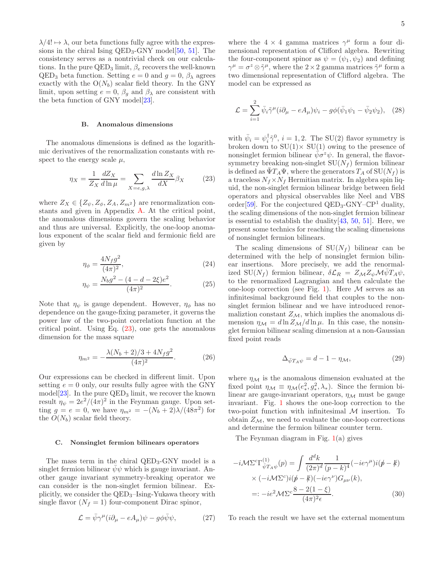$\lambda/4! \mapsto \lambda$ , our beta functions fully agree with the expressions in the chiral Ising  $QED_3$ -GNY model[\[50](#page-13-24), [51](#page-13-21)]. The consistency serves as a nontrivial check on our calculations. In the pure  $\text{QED}_3$  limit,  $\beta_e$  recovers the well-known  $QED_3$  beta function. Setting  $e = 0$  and  $g = 0$ ,  $\beta_{\lambda}$  agrees exactly with the  $O(N_b)$  scalar field theory. In the GNY limit, upon setting  $e = 0$ ,  $\beta_q$  and  $\beta_\lambda$  are consistent with the beta function of GNY model[\[23](#page-12-14)].

#### B. Anomalous dimensions

The anomalous dimensions is defined as the logarithmic derivatives of the renormalization constants with respect to the energy scale  $\mu$ ,

<span id="page-4-0"></span>
$$
\eta_X = \frac{1}{Z_X} \frac{dZ_X}{d\ln \mu} = \sum_{X = e, g, \lambda} \frac{d\ln Z_X}{dX} \beta_X \tag{23}
$$

where  $Z_X \in \{Z_{\psi}, Z_{\phi}, Z_A, Z_{m^2}\}\$  are renormalization constants and given in Appendix [A.](#page-9-0) At the critical point, the anomalous dimensions govern the scaling behavior and thus are universal. Explicitly, the one-loop anomalous exponent of the scalar field and fermionic field are given by

$$
\eta_{\phi} = \frac{4N_f g^2}{(4\pi)^2},\tag{24}
$$

$$
\eta_{\psi} = \frac{N_b g^2 - (4 - d - 2\xi)e^2}{(4\pi)^2}.
$$
 (25)

Note that  $\eta_{\psi}$  is gauge dependent. However,  $\eta_{\phi}$  has no dependence on the gauge-fixing parameter, it governs the power law of the two-point correlation function at the critical point. Using Eq.  $(23)$ , one gets the anomalous dimension for the mass square

<span id="page-4-2"></span>
$$
\eta_{m^2} = -\frac{\lambda (N_b + 2)/3 + 4N_f g^2}{(4\pi)^2}.
$$
 (26)

Our expressions can be checked in different limit. Upon setting  $e = 0$  only, our results fully agree with the GNY model<sup>[\[23](#page-12-14)]</sup>. In the pure  $QED<sub>3</sub>$  limit, we recover the known result  $\eta_{\psi} = 2e^2/(4\pi)^2$  in the Feynman gauge. Upon setting  $g = e = 0$ , we have  $\eta_{m^2} = -(N_b + 2)\lambda/(48\pi^2)$  for the  $O(N_b)$  scalar field theory.

#### C. Nonsinglet fermion bilinears operators

The mass term in the chiral  $QED<sub>3</sub>-GNY$  model is a singlet fermion bilinear  $\psi \psi$  which is gauge invariant. Another gauge invariant symmetry-breaking operator we can consider is the non-singlet fermion bilinear. Explicitly, we consider the  $QED_3$ -Ising-Yukawa theory with single flavor  $(N_f = 1)$  four-component Dirac spinor,

$$
\mathcal{L} = \bar{\psi}\gamma^{\mu}(i\partial_{\mu} - eA_{\mu})\psi - g\phi\bar{\psi}\psi, \qquad (27)
$$

where the  $4 \times 4$  gamma matrices  $\gamma^{\mu}$  form a four dimensional representation of Clifford algebra. Rewriting the four-component spinor as  $\psi = (\psi_1, \psi_2)$  and defining  $\gamma^{\mu} = \sigma^z \otimes \tilde{\gamma}^{\mu}$ , where the 2 × 2 gamma matrices  $\tilde{\gamma}^{\mu}$  form a two dimensional representation of Clifford algebra. The model can be expressed as

$$
\mathcal{L} = \sum_{i=1}^{2} \bar{\psi}_i \tilde{\gamma}^\mu (i\partial_\mu - eA_\mu) \psi_i - g\phi (\bar{\psi}_1 \psi_1 - \bar{\psi}_2 \psi_2), \quad (28)
$$

with  $\bar{\psi}_i = \psi_i^{\dagger} \tilde{\gamma}^0$ ,  $i = 1, 2$ . The SU(2) flavor symmetry is broken down to  $SU(1) \times SU(1)$  owing to the presence of nonsinglet fermion bilinear  $\bar{\psi} \sigma^z \psi$ . In general, the flavorsymmetry breaking non-singlet  $SU(N_f)$  fermion bilinear is defined as  $\Psi T_A \Psi$ , where the generators  $T_A$  of  $SU(N_f)$  is a traceless  $N_f \times N_f$  Hermitian matrix. In algebra spin liquid, the non-singlet fermion bilinear bridge between field operators and physical observables like Neel and VBS order<sup>[\[59\]](#page-13-29)</sup>. For the conjectured QED<sub>3</sub>-GNY-CP<sup>1</sup> duality, the scaling dimensions of the non-singlet fermion bilinear is essential to establish the duality  $[43, 50, 51]$  $[43, 50, 51]$  $[43, 50, 51]$  $[43, 50, 51]$  $[43, 50, 51]$ . Here, we present some technics for reaching the scaling dimensions of nonsinglet fermion bilinears.

<span id="page-4-1"></span>The scaling dimensions of  $SU(N_f)$  bilinear can be determined with the help of nonsinglet fermion bilinear insertions. More precisely, we add the renormalized SU( $N_f$ ) fermion bilinear,  $\delta \mathcal{L}_R = Z_{\mathcal{M}} Z_{\psi} \mathcal{M} \bar{\psi} T_A \psi$ , to the renormalized Lagrangian and then calculate the one-loop correction (see Fig. [1\)](#page-5-1). Here  $M$  serves as an infinitesimal background field that couples to the nonsinglet fermion bilinear and we have introduced renormalizion constant  $Z_M$ , which implies the anomalous dimension  $\eta_{\mathcal{M}} = d \ln Z_{\mathcal{M}}/d \ln \mu$ . In this case, the nonsinglet fermion bilinear scaling dimension at a non-Gaussian fixed point reads

<span id="page-4-3"></span>
$$
\Delta_{\bar{\psi}T_A\psi} = d - 1 - \eta_{\mathcal{M}},\tag{29}
$$

where  $\eta_{\mathcal{M}}$  is the anomalous dimension evaluated at the fixed point  $\eta_{\mathcal{M}} \equiv \eta_{\mathcal{M}}(e^2_*, g^2_*, \lambda_*)$ . Since the fermion bilinear are gauge-invariant operators,  $\eta_{\mathcal{M}}$  must be gauge invariant. Fig. [1](#page-5-1) shows the one-loop correction to the two-point function with infinitesimal  $M$  insertion. To obtain  $Z_M$ , we need to evaluate the one-loop corrections and determine the fermion bilinear counter term.

The Feynman diagram in Fig. [1\(](#page-5-1)a) gives

$$
-i\mathcal{M}\Sigma^{c}\Gamma^{(1)}_{\bar{\psi}T_{A}\psi}(p) = \int \frac{d^{d}k}{(2\pi)^{d}} \frac{1}{(p-k)^{4}}(-ie\gamma^{\mu})i(\not p - \not k)
$$
  
×  $(-i\mathcal{M}\Sigma^{c})i(\not p - \not k)(-ie\gamma^{\nu})G_{\mu\nu}(k),$   
=:  $-ie^{2}\mathcal{M}\Sigma^{c}\frac{8-2(1-\xi)}{(4\pi)^{2}\epsilon}.$  (30)

To reach the result we have set the external momentum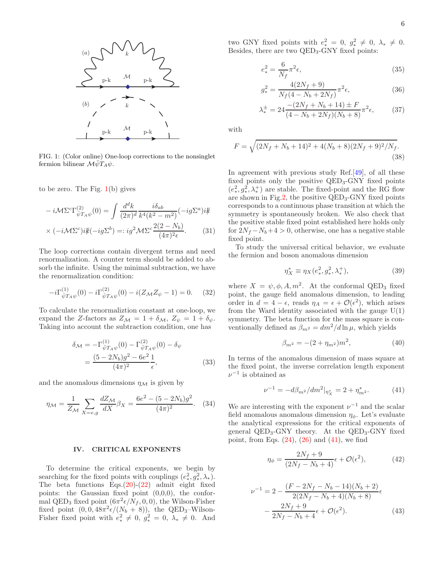

<span id="page-5-1"></span>FIG. 1: (Color online) One-loop corrections to the nonsinglet fermion bilinear  $\mathcal{M}\bar{\psi}T_A\psi$ .

to be zero. The Fig.  $1(b)$  $1(b)$  gives

$$
-i\mathcal{M}\Sigma^{c}\Gamma^{(2)}_{\bar{\psi}T_{A}\psi}(0) = \int \frac{d^{d}k}{(2\pi)^{d}} \frac{i\delta_{ab}}{k^{4}(k^{2}-m^{2})}(-ig\Sigma^{a})i\sharp
$$
  
 
$$
\times (-i\mathcal{M}\Sigma^{c})i\sharp (-ig\Sigma^{b}) =: ig^{2}\mathcal{M}\Sigma^{c}\frac{2(2-N_{b})}{(4\pi)^{2}\epsilon}.
$$
 (31)

The loop corrections contain divergent terms and need renormalization. A counter term should be added to absorb the infinite. Using the minimal subtraction, we have the renormalization condition:

$$
-i\Gamma_{\bar{\psi}T_A\psi}^{(1)}(0) - i\Gamma_{\bar{\psi}T_A\psi}^{(2)}(0) - i(Z_{\mathcal{M}}Z_{\psi} - 1) = 0. \tag{32}
$$

To calculate the renormaliztion constant at one-loop, we expand the Z-factors as  $Z_{\mathcal{M}} = 1 + \delta_{\mathcal{M}}, Z_{\psi} = 1 + \delta_{\psi}$ . Taking into account the subtraction condition, one has

$$
\delta_{\mathcal{M}} = -\Gamma^{(1)}_{\bar{\psi}T_A\psi}(0) - \Gamma^{(2)}_{\bar{\psi}T_A\psi}(0) - \delta_{\psi}
$$

$$
= \frac{(5 - 2N_b)g^2 - 6e^2}{(4\pi)^2} \frac{1}{\epsilon},
$$
(33)

and the anomalous dimensions  $\eta_{\mathcal{M}}$  is given by

$$
\eta_{\mathcal{M}} = \frac{1}{Z_{\mathcal{M}}} \sum_{X = e,g} \frac{dZ_{\mathcal{M}}}{dX} \beta_X = \frac{6e^2 - (5 - 2N_b)g^2}{(4\pi)^2}.
$$
 (34)

## <span id="page-5-0"></span>IV. CRITICAL EXPONENTS

To determine the critical exponents, we begin by searching for the fixed points with couplings  $(e_*^2, g_*^2, \lambda_*)$ . The beta functions  $Eqs.(20)-(22)$  $Eqs.(20)-(22)$  $Eqs.(20)-(22)$  $Eqs.(20)-(22)$  admit eight fixed points: the Gaussian fixed point (0,0,0), the conformal QED<sub>3</sub> fixed point  $(6\pi^2 \epsilon/N_f, 0, 0)$ , the Wilson-Fisher fixed point  $(0, 0, 48\pi^2 \epsilon/(N_b + 8))$ , the QED<sub>3</sub>-Wilson-Fisher fixed point with  $e_*^2 \neq 0$ ,  $g_*^2 = 0$ ,  $\lambda_* \neq 0$ . And

two GNY fixed points with  $e_*^2 = 0$ ,  $g_*^2 \neq 0$ ,  $\lambda_* \neq 0$ . Besides, there are two QED<sub>3</sub>-GNY fixed points:

$$
e_*^2 = \frac{6}{N_f} \pi^2 \epsilon,\tag{35}
$$

$$
g_*^2 = \frac{4(2N_f + 9)}{N_f(4 - N_b + 2N_f)} \pi^2 \epsilon,
$$
\n(36)

$$
\lambda_{*}^{\pm} = 24 \frac{-(2N_f + N_b + 14) \pm F}{(4 - N_b + 2N_f)(N_b + 8)} \pi^2 \epsilon,
$$
 (37)

with

g

$$
F = \sqrt{(2N_f + N_b + 14)^2 + 4(N_b + 8)(2N_f + 9)^2/N_f}.
$$
\n(38)

In agreement with previous study Ref.[\[49\]](#page-13-20), of all these fixed points only the positive  $QED_3$ -GNY fixed points  $(e^2_*,g^2_*,\lambda^+_*)$  are stable. The fixed-point and the RG flow are shown in Fig[.2,](#page-6-0) the positive  $QED_3$ -GNY fixed points corresponds to a continuous phase transition at which the symmetry is spontaneously broken. We also check that the positive stable fixed point established here holds only for  $2N_f - N_b + 4 > 0$ , otherwise, one has a negative stable fixed point.

To study the universal critical behavior, we evaluate the fermion and boson anomalous dimension

$$
\eta_X^* \equiv \eta_X(e_*^2, g_*^2, \lambda_*^+), \tag{39}
$$

where  $X = \psi, \phi, A, m^2$ . At the conformal QED<sub>3</sub> fixed point, the gauge field anomalous dimension, to leading order in  $d = 4 - \epsilon$ , reads  $\eta_A = \epsilon + \mathcal{O}(\epsilon^2)$ , which arises from the Ward identity associated with the gauge  $U(1)$ symmetry. The beta function for the mass square is conventionally defined as  $\beta_{m^2} = dm^2/d \ln \mu$ , which yields

$$
\beta_{m^2} = -(2 + \eta_{m^2})m^2, \tag{40}
$$

In terms of the anomalous dimension of mass square at the fixed point, the inverse correlation length exponent  $\nu^{-1}$  is obtained as

<span id="page-5-2"></span>
$$
\nu^{-1} = -d\beta_{m^2}/dm^2|_{\eta_X^*} = 2 + \eta_{m^2}^*.
$$
 (41)

<span id="page-5-3"></span>We are interesting with the exponent  $\nu^{-1}$  and the scalar field anomalous anomalous dimension  $\eta_{\phi}$ . Let's evaluate the analytical expressions for the critical exponents of general  $QED_3$ -GNY theory. At the  $QED_3$ -GNY fixed point, from Eqs.  $(24)$ ,  $(26)$  and  $(41)$ , we find

$$
\eta_{\phi} = \frac{2N_f + 9}{(2N_f - N_b + 4)} \epsilon + \mathcal{O}(\epsilon^2),\tag{42}
$$

$$
\nu^{-1} = 2 - \frac{(F - 2N_f - N_b - 14)(N_b + 2)}{2(2N_f - N_b + 4)(N_b + 8)}\epsilon
$$

$$
- \frac{2N_f + 9}{2N_f - N_b + 4}\epsilon + \mathcal{O}(\epsilon^2). \tag{43}
$$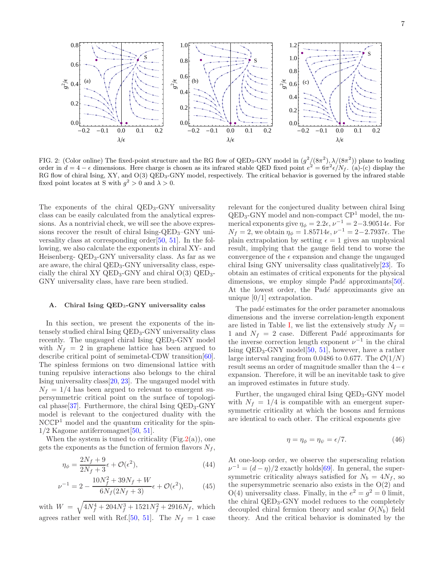

<span id="page-6-0"></span>FIG. 2: (Color online) The fixed-point structure and the RG flow of QED<sub>3</sub>-GNY model in  $(g^2/(8\pi^2), \lambda/(8\pi^2))$  plane to leading order in  $d = 4 - \epsilon$  dimensions. Here charge is chosen as its infrared stable QED fixed point  $e^2 = 6\pi^2 \epsilon/N_f$ . (a)-(c) display the RG flow of chiral Ising, XY, and O(3) QED<sub>3</sub>-GNY model, respectively. The critical behavior is governed by the infrared stable fixed point locates at S with  $g^2 > 0$  and  $\lambda > 0$ .

The exponents of the chiral QED<sub>3</sub>-GNY universality class can be easily calculated from the analytical expressions. As a nontrivial check, we will see the above expressions recover the result of chiral Ising-QED<sub>3</sub>–GNY universality class at corresponding order[\[50](#page-13-24), [51](#page-13-21)]. In the following, we also calculate the exponents in chiral XY- and Heisenberg-  $QED_3$ -GNY universality class. As far as we are aware, the chiral QED<sub>3</sub>-GNY universality class, especially the chiral XY QED<sub>3</sub>-GNY and chiral  $O(3)$  QED<sub>3</sub>-GNY universality class, have rare been studied.

## A. Chiral Ising QED<sub>3</sub>-GNY universality calss

In this section, we present the exponents of the intensely studied chiral Ising QED3-GNY universality class recently. The ungauged chiral Ising QED<sub>3</sub>-GNY model with  $N_f = 2$  in graphene lattice has been argued to describe critical point of semimetal-CDW transition[\[60\]](#page-13-30). The spinless fermions on two dimensional lattice with tuning repulsive interactions also belongs to the chiral Ising universality class[\[20,](#page-12-15) [23\]](#page-12-14). The ungauged model with  $N_f = 1/4$  has been argued to relevant to emergent supersymmetric critical point on the surface of topologi-cal phase[\[37\]](#page-13-9). Furthermore, the chiral Ising  $QED_3$ -GNY model is relevant to the conjectured duality with the NCCP<sup>1</sup> model and the quantum criticality for the spin- $1/2$  Kagome antiferromagnet[\[50,](#page-13-24) [51](#page-13-21)].

When the system is tuned to criticality  $(Fig.2(a))$  $(Fig.2(a))$  $(Fig.2(a))$ , one gets the exponents as the function of fermion flavors  $N_f$ ,

$$
\eta_{\phi} = \frac{2N_f + 9}{2N_f + 3}\epsilon + \mathcal{O}(\epsilon^2),\tag{44}
$$

$$
\nu^{-1} = 2 - \frac{10N_f^2 + 39N_f + W}{6N_f(2N_f + 3)} \epsilon + \mathcal{O}(\epsilon^2),\tag{45}
$$

with  $W = \sqrt{4N_f^4 + 204N_f^3 + 1521N_f^2 + 2916N_f}$ , which agrees rather well with Ref.[\[50](#page-13-24), [51](#page-13-21)]. The  $N_f = 1$  case

relevant for the conjectured duality between chiral Ising QED3-GNY model and non-compact CP <sup>1</sup> model, the numerical exponents give  $\eta_{\phi} = 2.2\epsilon, \nu^{-1} = 2-3.90514\epsilon$ . For  $N_f = 2$ , we obtain  $η_φ = 1.85714\epsilon, ν^{-1} = 2-2.7937\epsilon$ . The plain extrapolation by setting  $\epsilon = 1$  gives an unphysical result, implying that the gauge field tend to worse the convergence of the  $\epsilon$  expansion and change the ungauged chiral Ising GNY universality class qualitatively[\[23](#page-12-14)]. To obtain an estimates of critical exponents for the physical dimensions, we employ simple Padé approximants $[50]$ . At the lowest order, the Padé approximants give an unique [0/1] extrapolation.

The padé estimates for the order parameter anomalous dimensions and the inverse correlation-length exponent are listed in Table [I,](#page-7-1) we list the extensively study  $N_f =$ 1 and  $N_f = 2$  case. Different Padé approximants for the inverse correction length exponent  $\nu^{-1}$  in the chiral Ising  $QED_3$ -GNY model $[50, 51]$  $[50, 51]$  $[50, 51]$  $[50, 51]$ , however, have a rather large interval ranging from 0.0486 to 0.677. The  $\mathcal{O}(1/N)$ result seems an order of magnitude smaller than the  $4-\epsilon$ expansion. Therefore, it will be an inevitable task to give an improved estimates in future study.

Further, the ungauged chiral Ising QED3-GNY model with  $N_f = 1/4$  is compatible with an emergent supersymmetric criticality at which the bosons and fermions are identical to each other. The critical exponents give

$$
\eta = \eta_{\phi} = \eta_{\psi} = \epsilon/7. \tag{46}
$$

At one-loop order, we observe the superscaling relation  $\nu^{-1} = (d - \eta)/2$  exactly holds[\[69](#page-14-0)]. In general, the supersymmetric criticality always satisfied for  $N_b = 4N_f$ , so the supersymmetric scenario also exists in the  $O(2)$  and  $O(4)$  universality class. Finally, in the  $e^2 = g^2 = 0$  limit, the chiral QED3-GNY model reduces to the completely decoupled chiral fermion theory and scalar  $O(N_b)$  field theory. And the critical behavior is dominated by the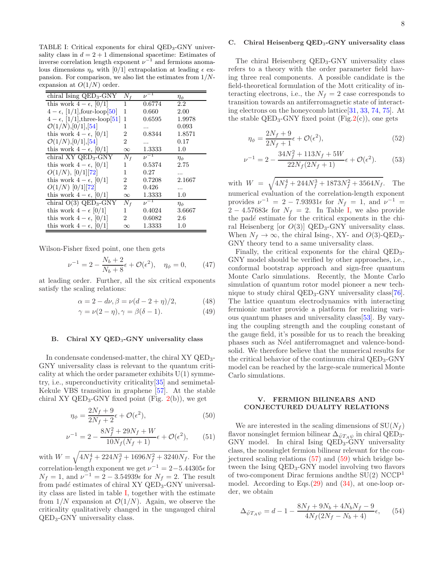<span id="page-7-1"></span>TABLE I: Critical exponents for chiral QED<sub>3</sub>-GNY universality class in  $d = 2 + 1$  dimensional spacetime: Estimates of inverse correlation length exponent  $\nu^{-1}$  and fermions anomalous dimensions  $\eta_{\phi}$  with [0/1] extrapolation at leading  $\epsilon$  expansion. For comparison, we also list the estimates from  $1/N$ expansion at  $O(1/N)$  order.

| chiral Ising $QED_3$ -GNY              | $N_f$          | $\nu^{-1}$ | $\eta_\phi$   |
|----------------------------------------|----------------|------------|---------------|
| this work $4 - \epsilon$ , [0/1]       | 1              | 0.6774     | 2.2           |
| $4 - \epsilon$ , [1/1], four-loop [50] | 1              | 0.660      | 2.00          |
| $4 - \epsilon$ , [1/1], three-loop[51] | 1              | 0.6595     | 1.9978        |
| $\mathcal{O}(1/N), [0/1], [54]$        | 1              |            | 0.093         |
| this work $4 - \epsilon$ , [0/1]       | 2              | 0.8344     | 1.8571        |
| $\mathcal{O}(1/N), [0/1], [54]$        | 2              |            | 0.17          |
| this work $4 - \epsilon$ , [0/1]       | $\infty$       | 1.3333     | 1.0           |
| chiral $XY$ QED <sub>3</sub> -GNY      | $N_f$          | $\nu^{-1}$ | $\eta_{\phi}$ |
| this work $4 - \epsilon$ , [0/1]       | 1              | 0.5374     | 2.75          |
| O(1/N), [0/1][72]                      | 1              | 0.27       |               |
| this work $4 - \epsilon$ , [0/1]       | 2              | 0.7208     | 2.1667        |
| $O(1/N)$ [0/1][72]                     | $\overline{2}$ | 0.426      |               |
| this work $4 - \epsilon$ , [0/1]       | $\infty$       | 1.3333     | 1.0           |
| chiral $O(3)$ QED <sub>3</sub> -GNY    | $N_f$          | $\nu^{-1}$ | $\eta_{\phi}$ |
| this work $4 - \epsilon$ [0/1]         | 1              | 0.4024     | 3.6667        |
| this work $4 - \epsilon$ , [0/1]       | 2              | 0.6082     | 2.6           |
| this work $4 - \epsilon$ , $ 0/1 $     | $\infty$       | 1.3333     | 1.0           |

Wilson-Fisher fixed point, one then gets

$$
\nu^{-1} = 2 - \frac{N_b + 2}{N_b + 8}\epsilon + \mathcal{O}(\epsilon^2), \quad \eta_{\phi} = 0,
$$
 (47)

at leading order. Further, all the six critical exponents satisfy the scaling relations:

$$
\alpha = 2 - d\nu, \beta = \nu(d - 2 + \eta)/2, \tag{48}
$$

$$
\gamma = \nu(2 - \eta), \gamma = \beta(\delta - 1). \tag{49}
$$

## B. Chiral XY QED<sub>3</sub>-GNY universality class

In condensate condensed-matter, the chiral XY QED<sub>3</sub>-GNY universality class is relevant to the quantum criticality at which the order parameter exhibits  $U(1)$  symmetry, i.e., superconductivity criticality[\[35\]](#page-13-7) and semimetal-Kekule VBS transition in graphene [\[57\]](#page-13-28). At the stable chiral XY QED<sub>3</sub>-GNY fixed point (Fig.  $2(b)$  $2(b)$ ), we get

$$
\eta_{\phi} = \frac{2N_f + 9}{2N_f + 2}\epsilon + \mathcal{O}(\epsilon^2),\tag{50}
$$

$$
\nu^{-1} = 2 - \frac{8N_f^2 + 29N_f + W}{10N_f(N_f + 1)} \epsilon + \mathcal{O}(\epsilon^2), \qquad (51)
$$

with  $W = \sqrt{4N_f^4 + 224N_f^3 + 1696N_f^2 + 3240N_f}$ . For the correlation-length exponent we get  $\nu^{-1} = 2 - 5.44305\epsilon$  for  $N_f = 1$ , and  $\nu^{-1} = 2 - 3.54939 \epsilon$  for  $N_f = 2$ . The result from padé estimates of chiral XY  $QED_3$ -GNY universality class are listed in table [I,](#page-7-1) together with the estimate from  $1/N$  expansion at  $\mathcal{O}(1/N)$ . Again, we observe the criticality qualitatively changed in the ungauged chiral QED3-GNY universality class.

## C. Chiral Heisenberg QED<sub>3</sub>-GNY universality class

The chiral Heisenberg QED<sub>3</sub>-GNY universality class refers to a theory with the order parameter field having three real components. A possible candidate is the field-theoretical formulation of the Mott criticality of interacting electrons, i.e., the  $N_f = 2$  case corresponds to transition towards an antiferromagnetic state of interacting electrons on the honeycomb lattice[\[31](#page-13-5), [33](#page-13-31), [74,](#page-14-2) [75](#page-14-3)]. At the stable  $QED_3$ -GNY fixed point (Fig[.2\(](#page-6-0)c)), one gets

$$
\eta_{\phi} = \frac{2N_f + 9}{2N_f + 1}\epsilon + \mathcal{O}(\epsilon^2),\tag{52}
$$

$$
\nu^{-1} = 2 - \frac{34N_f^2 + 113N_f + 5W}{22N_f(2N_f + 1)}\epsilon + \mathcal{O}(\epsilon^2). \tag{53}
$$

with  $W = \sqrt{4N_f^4 + 244N_f^3 + 1873N_f^2 + 3564N_f}$ . The numerical evaluation of the correlation-length exponent provides  $\nu^{-1} = 2 - 7.93931\epsilon$  for  $N_f = 1$ , and  $\nu^{-1} =$ 2 − 4.57683 $\epsilon$  for  $N_f = 2$ . In Table [I,](#page-7-1) we also provide the padé estimate for the critical exponents in the chiral Heisenberg [or  $O(3)$ ] QED<sub>3</sub>-GNY universality class. When  $N_f \to \infty$ , the chiral Ising-, XY- and  $O(3)$ -QED<sub>3</sub>-GNY theory tend to a same universality class.

Finally, the critical exponents for the chiral QED3- GNY model should be verified by other approaches, i.e., conformal bootstrap approach and sign-free quantum Monte Carlo simulations. Recently, the Monte Carlo simulation of quantum rotor model pioneer a new tech-nique to study chiral QED<sub>3</sub>-GNY universality class<sup>[\[76\]](#page-14-4)</sup>. The lattice quantum electrodynamics with interacting fermionic matter provide a platform for realizing various quantum phases and universality class[\[53\]](#page-13-23). By varying the coupling strength and the coupling constant of the gauge field, it's possible for us to reach the breaking phases such as N´eel antiferromagnet and valence-bondsolid. We therefore believe that the numerical results for the critical behavior of the continuum chiral  $QED_3$ -GNY model can be reached by the large-scale numerical Monte Carlo simulations.

## <span id="page-7-0"></span>V. FERMION BILINEARS AND CONJECTURED DUALITY RELATIONS

We are interested in the scaling dimensions of  $SU(N_f)$ flavor nonsinglet fermion bilinear  $\Delta_{\bar{\psi}T_A\psi}$  in chiral QED<sub>3</sub>-GNY model. In chiral Ising QED3-GNY universality class, the nonsinglet fermion bilinear relevant for the conjectured scaling relations [\(57\)](#page-8-1) and [\(59\)](#page-8-2) which bridge between the Ising QED<sub>3</sub>-GNY model involving two flavors of two-component Dirac fermions and<br>the SU(2) NCCP<sup>1</sup> model. According to Eqs.[\(29\)](#page-4-3) and [\(34\)](#page-5-3), at one-loop order, we obtain

$$
\Delta_{\bar{\psi}T_A\psi} = d - 1 - \frac{8N_f + 9N_b + 4N_bN_f - 9}{4N_f(2N_f - N_b + 4)}\epsilon,\qquad(54)
$$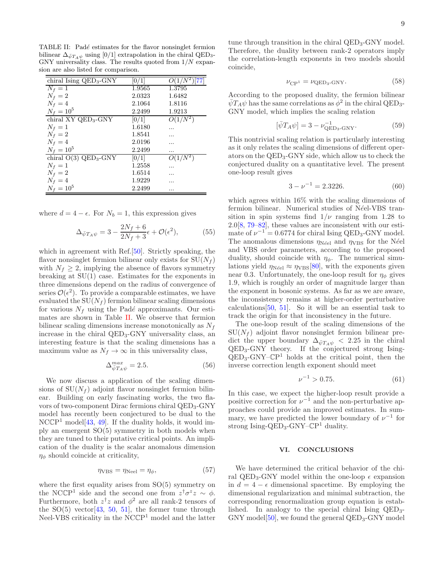<span id="page-8-3"></span>TABLE II: Padé estimates for the flavor nonsinglet fermion bilinear  $\Delta_{\bar{\psi}T_A\psi}$  using [0/1] extrapolation in the chiral QED<sub>3</sub>-GNY universality class. The results quoted from  $1/N$  expansion are also listed for comparison.

| chiral Ising $QED_3$ -GNY           | [0/1]  | $O(1/\bar{N}^2)$ [77] |
|-------------------------------------|--------|-----------------------|
| $N_f=1$                             | 1.9565 | 1.3795                |
| $N_f=2$                             | 2.0323 | 1.6482                |
| $N_f=4$                             | 2.1064 | 1.8116                |
| $N_f = 10^5$                        | 2.2499 | 1.9213                |
| chiral $XY$ QED <sub>3</sub> -GNY   | [0/1]  | $O(1/N^2)$            |
| $N_f=1$                             | 1.6180 |                       |
| $N_f=2$                             | 1.8541 |                       |
| $N_f=4$                             | 2.0196 |                       |
| $N_f = 10^5$                        | 2.2499 |                       |
| chiral $O(3)$ QED <sub>3</sub> -GNY | 0/1    | $O(1/N^2)$            |
| $N_f=1$                             | 1.2558 |                       |
| $N_f=2$                             | 1.6514 |                       |
| $N_f=4$                             | 1.9229 |                       |
| $N_f = 10^5$                        | 2.2499 |                       |

where  $d = 4 - \epsilon$ . For  $N_b = 1$ , this expression gives

$$
\Delta_{\bar{\psi}T_A\psi} = 3 - \frac{2N_f + 6}{2N_f + 3}\epsilon + \mathcal{O}(\epsilon^2),\tag{55}
$$

which in agreement with Ref.[\[50](#page-13-24)]. Strictly speaking, the flavor nonsinglet fermion bilinear only exists for  $SU(N_f)$ with  $N_f \geq 2$ , implying the absence of flavors symmetry breaking at  $SU(1)$  case. Estimates for the exponents in three dimensions depend on the radius of convergence of series  $\mathcal{O}(\epsilon^2)$ . To provide a comparable estimates, we have evaluated the  $SU(N_f)$  fermion bilinear scaling dimensions for various  $N_f$  using the Padé approximants. Our estimates are shown in Table [II.](#page-8-3) We observe that fermion bilinear scaling dimensions increase monotonically as  $N_f$ increase in the chiral QED<sub>3</sub>-GNY universality class, an interesting feature is that the scaling dimensions has a maximum value as  $N_f \to \infty$  in this universality class,

$$
\Delta_{\bar{\psi}T_A\psi}^{max} = 2.5. \tag{56}
$$

We now discuss a application of the scaling dimensions of  $SU(N_f)$  adjoint flavor nonsinglet fermion bilinear. Building on early fascinating works, the two flavors of two-component Dirac fermions chiral QED<sub>3</sub>-GNY model has recently been conjectured to be dual to the  $NCCP<sup>1</sup>$  model $[43, 49]$  $[43, 49]$  $[43, 49]$ . If the duality holds, it would imply an emergent SO(5) symmetry in both models when they are tuned to their putative critical points. An implication of the duality is the scalar anomalous dimension  $\eta_{\phi}$  should coincide at criticality,

<span id="page-8-1"></span>
$$
\eta_{\text{VBS}} = \eta_{\text{Neel}} = \eta_{\phi},\tag{57}
$$

where the first equality arises from  $SO(5)$  symmetry on the NCCP<sup>1</sup> side and the second one from  $z^{\dagger}\sigma^z z \sim \phi$ . Furthermore, both  $z^{\dagger}z$  and  $\phi^2$  are all rank-2 tensors of the  $SO(5)$  vector [\[43,](#page-13-14) [50](#page-13-24), [51\]](#page-13-21), the former tune through Neel-VBS criticality in the NCCP<sup>1</sup> model and the latter

tune through transition in the chiral  $QED_3$ -GNY model. Therefore, the duality between rank-2 operators imply the correlation-length exponents in two models should coincide,

$$
\nu_{\rm CP^1} = \nu_{\rm QED_3\text{-}GNY}.\tag{58}
$$

According to the proposed duality, the fermion bilinear  $\bar{\psi}T_A\psi$  has the same correlations as  $\dot{\phi}^2$  in the chiral QED<sub>3</sub>-GNY model, which implies the scaling relation

<span id="page-8-2"></span>
$$
[\bar{\psi}T_A\psi] = 3 - \nu_{\text{QED}_3\text{-GNY}}^{-1}.
$$
 (59)

This nontrivial scaling relation is particularly interesting as it only relates the scaling dimensions of different operators on the QED3-GNY side, which allow us to check the conjectured duality on a quantitative level. The present one-loop result gives

$$
3 - \nu^{-1} = 2.3226.\t(60)
$$

which agrees within 16% with the scaling dimensions of fermion bilinear. Numerical studies of Néel-VBS transition in spin systems find  $1/\nu$  ranging from 1.28 to 2.0[\[8,](#page-12-6) [79](#page-14-6)[–82\]](#page-14-7), these values are inconsistent with our estimate of  $\nu^{-1} = 0.6774$  for chiral Ising QED<sub>3</sub>-GNY model. The anomalous dimensions  $\eta_{N\acute{e}el}$  and  $\eta_{VBS}$  for the N $\acute{e}el$ and VBS order parameters, according to the proposed duality, should coincide with  $\eta_{\phi}$ . The numerical simulations yield  $\eta_{\text{N\'{e}el}} \approx \eta_{\text{VBS}}[80]$  $\eta_{\text{N\'{e}el}} \approx \eta_{\text{VBS}}[80]$ , with the exponents given near 0.3. Unfortunately, the one-loop result for  $\eta_{\phi}$  gives 1.9, which is roughly an order of magnitude larger than the exponent in bosonic systems. As far as we are aware, the inconsistency remains at higher-order perturbative calculations  $[50, 51]$  $[50, 51]$  $[50, 51]$  $[50, 51]$ . So it will be an essential task to track the origin for that inconsistency in the future.

The one-loop result of the scaling dimensions of the  $SU(N_f)$  adjoint flavor nonsinglet fermion bilinear predict the upper boundary  $\Delta_{\bar{\psi}T_A\psi}$  < 2.25 in the chiral QED3-GNY theory. If the conjectured strong Ising-QED3-GNY–CP <sup>1</sup> holds at the critical point, then the inverse correction length exponent should meet

$$
\nu^{-1} > 0.75. \tag{61}
$$

In this case, we expect the higher-loop result provide a positive correction for  $\nu^{-1}$  and the non-perturbative approaches could provide an improved estimates. In summary, we have predicted the lower boundary of  $\nu^{-1}$  for strong Ising-QED<sub>3</sub>-GNY- $\mathbb{CP}^1$  duality.

### <span id="page-8-0"></span>VI. CONCLUSIONS

We have determined the critical behavior of the chiral QED<sub>3</sub>-GNY model within the one-loop  $\epsilon$  expansion in  $d = 4 - \epsilon$  dimensional spacetime. By employing the dimensional regularization and minimal subtraction, the corresponding renormalization group equation is established. In analogy to the special chiral Ising  $QED_3$ -GNY model  $[50]$  $[50]$ , we found the general  $QED_3$ -GNY model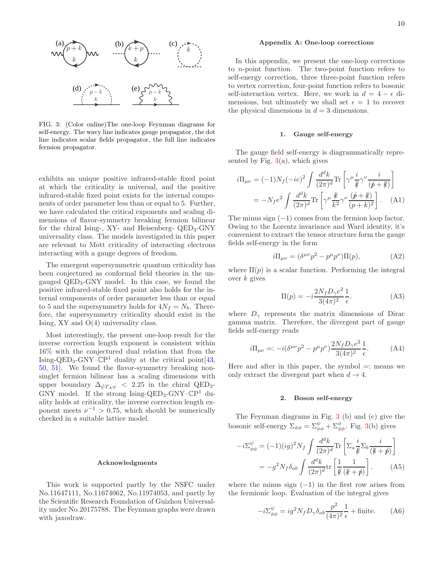

<span id="page-9-1"></span>FIG. 3: (Color online)The one-loop Feynman diagrams for self-energy. The wavy line indicates gauge propagator, the dot line indicates scalar fields propagator, the full line indicates fermion propagator.

exhibits an unique positive infrared-stable fixed point at which the criticality is universal, and the positive infrared-stable fixed point exists for the internal components of order parameter less than or equal to 5. Further, we have calculated the critical exponents and scaling dimensions of flavor-symmetry breaking fermion bilinear for the chiral Ising-, XY- and Heisenberg- QED3-GNY universality class. The models investigated in this paper are relevant to Mott criticality of interacting electrons interacting with a gauge degrees of freedom.

The emergent supersymmetric quantum criticality has been conjectured as conformal field theories in the ungauged QED3-GNY model. In this case, we found the positive infrared-stable fixed point also holds for the internal components of order parameter less than or equal to 5 and the supersymmetry holds for  $4N_f = N_b$ . Therefore, the supersymmetry criticality should exist in the Ising, XY and O(4) universality class.

Most interestingly, the present one-loop result for the inverse correction length exponent is consistent within 16% with the conjectured dual relation that from the Ising-QED<sub>3</sub>-GNY– $\mathbb{C}P^1$  duality at the critical point [\[43](#page-13-14), [50,](#page-13-24) [51\]](#page-13-21). We found the flavor-symmetry breaking nonsinglet fermion bilinear has a scaling dimensions with upper boundary  $\Delta_{\bar{\psi}T_A\psi}$  < 2.25 in the chiral QED<sub>3</sub>-GNY model. If the strong Ising-QED<sub>3</sub>-GNY–CP<sup>1</sup> duality holds at criticality, the inverse correction length exponent meets  $\nu^{-1} > 0.75$ , which should be numerically checked in a suitable lattice model.

## Acknowledgments

This work is supported partly by the NSFC under No.11647111, No.11674062, No.11974053, and partly by the Scientific Research Foundation of Guizhou Universality under No.20175788. The Feynman graphs were drawn with jaxodraw.

#### <span id="page-9-0"></span>Appendix A: One-loop corrections

In this appendix, we present the one-loop corrections to n-point function. The two-point function refers to self-energy correction, three three-point function refers to vertex correction, four-point function refers to bosonic self-interaction vertex. Here, we work in  $d = 4 - \epsilon$  dimensions, but ultimately we shall set  $\epsilon = 1$  to recover the physical dimensions in  $d = 3$  dimensions.

#### 1. Gauge self-energy

The gauge field self-energy is diagrammatically represented by Fig.  $3(a)$  $3(a)$ , which gives

$$
i\Pi_{\mu\nu} = (-1)N_f(-ie)^2 \int \frac{d^d k}{(2\pi)^d} \text{Tr} \left[ \gamma^{\mu} \frac{i}{k} \gamma^{\nu} \frac{i}{(p+k)} \right]
$$

$$
= -N_f e^2 \int \frac{d^d k}{(2\pi)^d} \text{Tr} \left[ \gamma^{\mu} \frac{k}{k^2} \gamma^{\nu} \frac{(p+k)}{(p+k)^2} \right]. \quad (A1)
$$

The minus sign  $(-1)$  comes from the fermion loop factor. Owing to the Lorentz invariance and Ward identity, it's convenient to extract the tensor structure form the gauge fields self-energy in the form

$$
i\Pi_{\mu\nu} = (\delta^{\mu\nu}p^2 - p^{\mu}p^{\nu})\Pi(p), \qquad (A2)
$$

where  $\Pi(p)$  is a scalar function. Performing the integral over  $k$  gives

$$
\Pi(p) = -i\frac{2N_f D_\gamma e^2}{3(4\pi)^2} \frac{1}{\epsilon}.\tag{A3}
$$

where  $D_{\gamma}$  represents the matrix dimensions of Dirac gamma matrix. Therefore, the divergent part of gauge fields self-energy reads

$$
i\Pi_{\mu\nu} =: -i(\delta^{\mu\nu}p^2 - p^{\mu}p^{\nu})\frac{2N_f D_{\gamma}e^2}{3(4\pi)^2}\frac{1}{\epsilon}.
$$
 (A4)

Here and after in this paper, the symbol  $=$ : means we only extract the divergent part when  $d \rightarrow 4$ .

#### 2. Boson self-energy

The Feynman diagrams in Fig. [3](#page-9-1) (b) and (c) give the bosonic self-energy  $\Sigma_{\phi\phi} = \Sigma_{\phi\phi}^{\psi} + \Sigma_{\phi\phi}^{\phi}$ . Fig. [3\(](#page-9-1)b) gives

$$
-i\Sigma_{\phi\phi}^{\psi} = (-1)(ig)^2 N_f \int \frac{d^d k}{(2\pi)^d} \text{Tr} \left[ \Sigma_a \frac{i}{\not k} \Sigma_b \frac{i}{(\not k + \not p)} \right]
$$

$$
= -g^2 N_f \delta_{ab} \int \frac{d^d k}{(2\pi)^d} \text{tr} \left[ \frac{1}{\not k} \frac{1}{(\not k + \not p)} \right]. \tag{A5}
$$

where the minus sign  $(-1)$  in the first row arises from the fermionic loop. Evaluation of the integral gives

$$
-i\Sigma_{\phi\phi}^{\psi} = ig^2 N_f D_\gamma \delta_{ab} \frac{p^2}{(4\pi)^2} \frac{1}{\epsilon} + \text{finite.} \tag{A6}
$$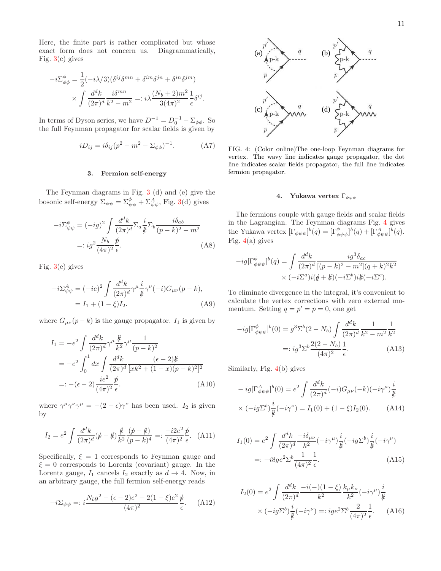Here, the finite part is rather complicated but whose exact form does not concern us. Diagrammatically, Fig.  $3(c)$  $3(c)$  gives

$$
-i\Sigma^{\phi}_{\phi\phi} = \frac{1}{2}(-i\lambda/3)(\delta^{ij}\delta^{mn} + \delta^{im}\delta^{jn} + \delta^{in}\delta^{jm})
$$

$$
\times \int \frac{d^d k}{(2\pi)^d} \frac{i\delta^{mn}}{k^2 - m^2} =: i\lambda \frac{(N_b + 2)m^2}{3(4\pi)^2} \frac{1}{\epsilon}\delta^{ij}.
$$

In terms of Dyson series, we have  $D^{-1} = D_0^{-1} - \Sigma_{\phi\phi}$ . So the full Feynman propagator for scalar fields is given by

$$
iD_{ij} = i\delta_{ij}(p^2 - m^2 - \Sigma_{\phi\phi})^{-1}.
$$
 (A7)

## 3. Fermion self-energy

The Feynman diagrams in Fig. [3](#page-9-1) (d) and (e) give the bosonic self-energy  $\Sigma_{\psi\psi} = \Sigma_{\psi\psi}^{\phi} + \Sigma_{\psi\psi}^{A}$ , Fig. [3\(](#page-9-1)d) gives

$$
-i\Sigma^{\phi}_{\psi\psi} = (-ig)^2 \int \frac{d^d k}{(2\pi)^d} \Sigma_a \frac{i}{k} \Sigma_b \frac{i\delta_{ab}}{(p-k)^2 - m^2}
$$

$$
=: ig^2 \frac{N_b}{(4\pi)^2} \frac{\phi}{\epsilon}.
$$
(A8)

Fig.  $3(e)$  $3(e)$  gives

$$
-i\Sigma_{\psi\psi}^{A} = (-ie)^{2} \int \frac{d^{d}k}{(2\pi)^{d}} \gamma^{\mu} \frac{i}{k} \gamma^{\nu}(-i) G_{\mu\nu}(p-k),
$$
  
= I<sub>1</sub> + (1 - \xi)I<sub>2</sub>. (A9)

where  $G_{\mu\nu}(p-k)$  is the gauge propagator.  $I_1$  is given by

$$
I_1 = -e^2 \int \frac{d^d k}{(2\pi)^d} \gamma^\mu \frac{\frac{k}{k^2}}{\gamma^\mu} \frac{1}{(p-k)^2}
$$
  
=  $-e^2 \int_0^1 dx \int \frac{d^d k}{(2\pi)^d} \frac{(\epsilon - 2) \frac{k}{k^2}}{[x k^2 + (1-x)(p-k)^2]^2}$   
=:  $-(\epsilon - 2) \frac{ie^2}{(4\pi)^2} \frac{\cancel{p}}{\epsilon}.$  (A10)

where  $\gamma^{\mu}\gamma^{\nu}\gamma^{\mu} = -(2 - \epsilon)\gamma^{\nu}$  has been used.  $I_2$  is given by

$$
I_2 = e^2 \int \frac{d^d k}{(2\pi)^d} (\not p - \not k) \frac{\not k}{k^2} \frac{(\not p - \not k)}{(\not p - k)^4} =: \frac{-i2e^2}{(4\pi)^2} \frac{\not p}{\epsilon}.
$$
 (A11)

Specifically,  $\xi = 1$  corresponds to Feynman gauge and  $\xi = 0$  corresponds to Lorentz (covariant) gauge. In the Lorentz gauge,  $I_1$  cancels  $I_2$  exactly as  $d \rightarrow 4$ . Now, in an arbitrary gauge, the full fermion self-energy reads

$$
-i\Sigma_{\psi\psi} =: i\frac{N_b g^2 - (\epsilon - 2)e^2 - 2(1 - \xi)e^2}{(4\pi)^2} \frac{\rlap{\,/}p}{\epsilon}.
$$
 (A12)



<span id="page-10-0"></span>FIG. 4: (Color online)The one-loop Feynman diagrams for vertex. The wavy line indicates gauge propagator, the dot line indicates scalar fields propagator, the full line indicates fermion propagator.

#### 4. Yukawa vertex  $\Gamma_{\phi\psi\psi}$

The fermions couple with gauge fields and scalar fields in the Lagrangian. The Feynman diagrams Fig. [4](#page-10-0) gives the Yukawa vertex  $[\Gamma_{\phi\psi\psi}]^b(q) = [\Gamma^{\phi}_{\phi\psi\psi}]^b(q) + [\Gamma^A_{\phi\psi\psi}]^b(q)$ . Fig.  $4(a)$  $4(a)$  gives

$$
-ig[\Gamma^{\phi}_{\phi\psi\psi}]^b(q) = \int \frac{d^dk}{(2\pi)^d} \frac{ig^3 \delta_{ac}}{[(p-k)^2 - m^2](q+k)^2 k^2} \times (-i\Sigma^a)i(q+k)(-i\Sigma^b)i(k(k-i\Sigma^c).
$$

To eliminate divergence in the integral, it's convenient to calculate the vertex corrections with zero external momentum. Setting  $q = p' = p = 0$ , one get

$$
-ig[\Gamma^{\phi}_{\phi\psi\psi}]^{b}(0) = g^{3}\Sigma^{b}(2 - N_{b}) \int \frac{d^{d}k}{(2\pi)^{d}} \frac{1}{k^{2} - m^{2}} \frac{1}{k^{2}}
$$

$$
=: ig^{3}\Sigma^{b} \frac{2(2 - N_{b})}{(4\pi)^{2}} \frac{1}{\epsilon}.
$$
(A13)

Similarly, Fig. [4\(](#page-10-0)b) gives

$$
-ig[\Gamma^{A}_{\phi\psi\psi}]^{b}(0) = e^{2} \int \frac{d^{d}k}{(2\pi)^{d}}(-i)G_{\mu\nu}(-k)(-i\gamma^{\mu})\frac{i}{k}
$$

$$
\times (-ig\Sigma^{b})\frac{i}{k}(-i\gamma^{\nu}) = I_{1}(0) + (1-\xi)I_{2}(0). \tag{A14}
$$

$$
I_1(0) = e^2 \int \frac{d^d k}{(2\pi)^d} \frac{-i\delta_{\mu\nu}}{k^2} (-i\gamma^\mu) \frac{i}{\not k} (-ig\Sigma^b) \frac{i}{\not k} (-i\gamma^\nu)
$$
  
=:  $-i8ge^2\Sigma^b \frac{1}{(4\pi)^2} \frac{1}{\epsilon}$ . (A15)

$$
I_2(0) = e^2 \int \frac{d^d k}{(2\pi)^d} \frac{-i(-)(1-\xi)}{k^2} \frac{k_\mu k_\nu}{k^2} (-i\gamma^\mu) \frac{i}{k}
$$
  
 
$$
\times (-ig \Sigma^b) \frac{i}{k} (-i\gamma^\nu) =: ig e^2 \Sigma^b \frac{2}{(4\pi)^2} \frac{1}{\epsilon}.
$$
 (A16)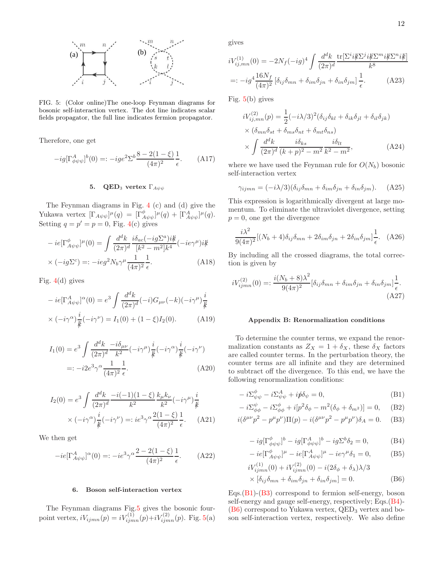

<span id="page-11-1"></span>FIG. 5: (Color online)The one-loop Feynman diagrams for bosonic self-interaction vertex. The dot line indicates scalar fields propagator, the full line indicates fermion propagator.

Therefore, one get

$$
-ig[\Gamma^{A}_{\phi\psi\psi}]^{b}(0) =: -ige^{2}\Sigma^{b}\frac{8 - 2(1 - \xi)}{(4\pi)^{2}}\frac{1}{\epsilon}.
$$
 (A17)

# 5. QED<sub>3</sub> vertex  $\Gamma_{A\psi\psi}$

The Feynman diagrams in Fig. [4](#page-10-0) (c) and (d) give the Yukawa vertex  $[\Gamma_{A\psi\psi}]\mu(q) = [\Gamma^{\phi}_{A\psi\psi}]\mu(q) + [\Gamma^{A}_{A\psi\psi}]\mu(q)$ . Setting  $q = p' = p = 0$ , Fig. [4\(](#page-10-0)c) gives

$$
-ie[\Gamma^{\phi}_{A\psi\psi}]^{\mu}(0) = \int \frac{d^{d}k}{(2\pi)^{d}} \frac{i\delta_{ac}(-ig\Sigma^{a})i\rlap{/k}{k}}{[k^{2}-m^{2}]k^{4}}(-ie\gamma^{\mu})i\rlap{/k}{k}
$$

$$
\times (-ig\Sigma^{c}) =: -ieg^{2}N_{b}\gamma^{\mu}\frac{1}{(4\pi)^{2}}\frac{1}{\epsilon}.
$$
(A18)

Fig.  $4(d)$  $4(d)$  gives

$$
-ie[\Gamma_{A\psi\psi}^{A}]^{\alpha}(0) = e^{3} \int \frac{d^{d}k}{(2\pi)^{d}}(-i)G_{\mu\nu}(-k)(-i\gamma^{\mu})\frac{i}{k}
$$

$$
\times (-i\gamma^{\alpha})\frac{i}{k}(-i\gamma^{\nu}) = I_{1}(0) + (1-\xi)I_{2}(0). \tag{A19}
$$

$$
I_1(0) = e^3 \int \frac{d^d k}{(2\pi)^d} \frac{-i\delta_{\mu\nu}}{k^2} (-i\gamma^\mu) \frac{i}{k} (-i\gamma^\alpha) \frac{i}{k} (-i\gamma^\nu)
$$
  
=:  $-i2e^3 \gamma^\alpha \frac{1}{(4\pi)^2} \frac{1}{\epsilon}$ . (A20)

$$
I_2(0) = e^3 \int \frac{d^d k}{(2\pi)^d} \frac{-i(-1)(1-\xi)}{k^2} \frac{k_\mu k_\nu}{k^2} (-i\gamma^\mu) \frac{i}{\not k}
$$

$$
\times (-i\gamma^\alpha) \frac{i}{\not k} (-i\gamma^\nu) =: ie^3 \gamma^\alpha \frac{2(1-\xi)}{(4\pi)^2} \frac{1}{\epsilon}.
$$
 (A21)

We then get

$$
-ie[\Gamma_{A\psi\psi}^{A}]^{\alpha}(0) =: -ie^{3}\gamma^{\alpha}\frac{2 - 2(1 - \xi)}{(4\pi)^{2}}\frac{1}{\epsilon}.
$$
 (A22)

#### 6. Boson self-interaction vertex

The Feynman diagrams Fig[.5](#page-11-1) gives the bosonic fourpoint vertex,  $iV_{ijmn}(p) = iV_{ijmn}^{(1)}(p) + iV_{ijmn}^{(2)}(p)$ . Fig. [5\(](#page-11-1)a) gives

$$
iV_{ij,mn}^{(1)}(0) = -2N_f(-ig)^4 \int \frac{d^d k}{(2\pi)^d} \frac{\text{tr}[\Sigma^i i\cancel{k}\Sigma^j i\cancel{k}\Sigma^m i\cancel{k}\Sigma^n i\cancel{k}]}{k^8}
$$

$$
=:-ig^4 \frac{16N_f}{(4\pi)^2} \left[\delta_{ij}\delta_{mn} + \delta_{im}\delta_{jn} + \delta_{in}\delta_{jm}\right] \frac{1}{\epsilon}.
$$
 (A23)

Fig. [5\(](#page-11-1)b) gives

$$
iV_{ij,mn}^{(2)}(p) = \frac{1}{2}(-i\lambda/3)^2(\delta_{ij}\delta_{kl} + \delta_{ik}\delta_{jl} + \delta_{il}\delta_{jk})
$$
  
 
$$
\times (\delta_{mn}\delta_{st} + \delta_{ms}\delta_{nt} + \delta_{mt}\delta_{ns})
$$
  
 
$$
\times \int \frac{d^dk}{(2\pi)^d} \frac{i\delta_{ks}}{(k+p)^2 - m^2} \frac{i\delta_{lt}}{k^2 - m^2},
$$
 (A24)

where we have used the Feynman rule for  $O(N_b)$  bosonic self-interaction vertex

$$
\gamma_{ijmn} = (-i\lambda/3)(\delta_{ij}\delta_{mn} + \delta_{im}\delta_{jn} + \delta_{in}\delta_{jm}). \tag{A25}
$$

This expression is logarithmically divergent at large momentum. To eliminate the ultraviolet divergence, setting  $p = 0$ , one get the divergence

$$
\frac{i\lambda^2}{9(4\pi)^2} [(N_b+4)\delta_{ij}\delta_{mn} + 2\delta_{im}\delta_{jn} + 2\delta_{in}\delta_{jm}] \frac{1}{\epsilon}.
$$
 (A26)

By including all the crossed diagrams, the total correction is given by

$$
iV_{ijmn}^{(2)}(0) =: \frac{i(N_b + 8)\lambda^2}{9(4\pi)^2} [\delta_{ij}\delta_{mn} + \delta_{im}\delta_{jn} + \delta_{in}\delta_{jm}] \frac{1}{\epsilon}.
$$
\n(A27)

### <span id="page-11-0"></span>Appendix B: Renormalization conditions

To determine the counter terms, we expand the renormalization constants as  $Z_X = 1 + \delta_X$ , these  $\delta_X$  factors are called counter terms. In the perturbation theory, the counter terms are all infinite and they are determined to subtract off the divergence. To this end, we have the following renormalization conditions:

$$
-i\Sigma^{\phi}_{\psi\psi} - i\Sigma^{\mathcal{A}}_{\psi\psi} + i\rlap/v\delta_{\psi} = 0, \tag{B1}
$$

$$
-i\Sigma^{\psi}_{\phi\phi} - i\Sigma^{\phi}_{\phi\phi} + i[p^2 \delta_{\phi} - m^2(\delta_{\phi} + \delta_{m^2})] = 0, \quad (B2)
$$

$$
i(\delta^{\mu\nu}p^2 - p^{\mu}p^{\nu})\Pi(p) - i(\delta^{\mu\nu}p^2 - p^{\mu}p^{\nu})\delta_A = 0.
$$
 (B3)

<span id="page-11-4"></span><span id="page-11-3"></span><span id="page-11-2"></span>
$$
-ig[\Gamma^{\phi}_{\phi\psi\psi}]^{b} - ig[\Gamma^A_{\phi\psi\psi}]^{b} - ig\Sigma^{b}\delta_{2} = 0,
$$
 (B4)

$$
-ie[\Gamma^{\phi}_{A\psi\psi}]^{\mu} - ie[\Gamma^A_{A\psi\psi}]^{\mu} - ie\gamma^{\mu}\delta_1 = 0,
$$
 (B5)  
\n
$$
[V^{(1)}(0) + iV^{(2)}(0) - i(2\delta_0 + \delta_0)]/2
$$

<span id="page-11-5"></span>
$$
iV_{ijmn}^{(1)}(0) + iV_{ijmn}^{(2)}(0) - i(2\delta_{\phi} + \delta_{\lambda})\lambda/3
$$
  
 
$$
\times [\delta_{ij}\delta_{mn} + \delta_{im}\delta_{jn} + \delta_{in}\delta_{jm}] = 0.
$$
 (B6)

Eqs. $(B1)$ - $(B3)$  correspond to fermion self-energy, boson self-energy and gauge self-energy, respectively; Eqs.[\(B4\)](#page-11-4)-  $(B6)$  correspond to Yukawa vertex,  $QED<sub>3</sub>$  vertex and boson self-interaction vertex, respectively. We also define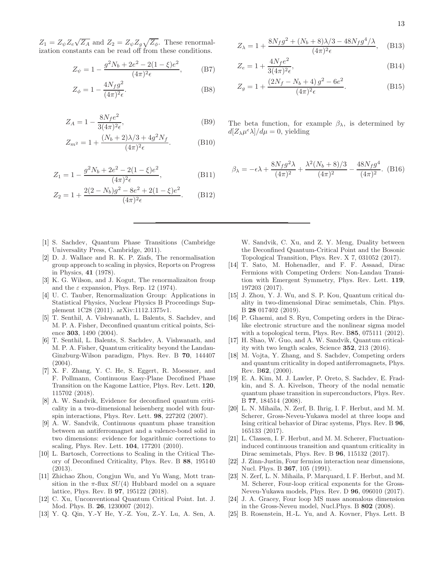13

 $Z_1 = Z_{\psi} Z_e \sqrt{Z_A}$  and  $Z_2 = Z_{\psi} Z_g \sqrt{Z_{\phi}}$ . These renormalization constants can be read off from these conditions.

$$
Z_{\psi} = 1 - \frac{g^2 N_b + 2e^2 - 2(1 - \xi)e^2}{(4\pi)^2 \epsilon},
$$
 (B7)

$$
Z_{\phi} = 1 - \frac{4N_f g^2}{(4\pi)^2 \epsilon}.
$$
 (B8)

$$
Z_A = 1 - \frac{8N_f e^2}{3(4\pi)^2 \epsilon},\tag{B9}
$$

$$
Z_{m^2} = 1 + \frac{(N_b + 2)\lambda/3 + 4g^2 N_f}{(4\pi)^2 \epsilon}.
$$
 (B10)

$$
Z_1 = 1 - \frac{g^2 N_b + 2e^2 - 2(1 - \xi)e^2}{(4\pi)^2 \epsilon},
$$
 (B11)

$$
Z_2 = 1 + \frac{2(2 - N_b)g^2 - 8e^2 + 2(1 - \xi)e^2}{(4\pi)^2 \epsilon}.
$$
 (B12)

- <span id="page-12-0"></span>[1] S. Sachdev, Quantum Phase Transitions (Cambridge Universality Press, Cambridge, 2011).
- <span id="page-12-1"></span>[2] D. J. Wallace and R. K. P. Ziafs, The renormalisation group approach to scaling in physics, Reports on Progress in Physics, 41 (1978).
- [3] K. G. Wilson, and J. Kogut, The renormalizaiton froup and the  $\varepsilon$  expansion, Phys. Rep. 12 (1974).
- <span id="page-12-2"></span>[4] U. C. Tauber, Renormalization Group: Applications in Statistical Physics, Nuclear Physics B Proceedings Supplement 1C28 (2011). arXiv:1112.1375v1.
- <span id="page-12-3"></span>[5] T. Senthil, A. Vishwanath, L. Balents, S. Sachdev, and M. P. A. Fisher, Deconfined quantum critical points, Science 303, 1490 (2004).
- <span id="page-12-4"></span>[6] T. Senthil, L. Balents, S. Sachdev, A. Vishwanath, and M. P. A. Fisher, Quantum criticality beyond the Landau-Ginzburg-Wilson paradigm, Phys. Rev. B 70, 144407  $(2004)$ .
- <span id="page-12-5"></span>[7] X. F. Zhang, Y. C. He, S. Eggert, R. Moessner, and F. Pollmann, Continuous Easy-Plane Decofined Phase Transition on the Kagome Lattice, Phys. Rev. Lett. 120, 115702 (2018).
- <span id="page-12-6"></span>[8] A. W. Sandvik, Evidence for deconfined quantum criticality in a two-dimensional heisenberg model with fourspin interactions, Phys. Rev. Lett. 98, 227202 (2007).
- [9] A. W. Sandvik, Continuous quantum phase transition between an antiferromagnet and a valence-bond solid in two dimensions: evidence for logarithmic corrections to scaling, Phys. Rev. Lett. 104, 177201 (2010).
- [10] L. Bartosch, Corrections to Scaling in the Critical Theory of Deconfined Criticality, Phys. Rev. B 88, 195140 (2013).
- <span id="page-12-7"></span>[11] Zhichao Zhou, Congjun Wu, and Yu Wang, Mott transition in the  $\pi$ -flux  $SU(4)$  Hubbard model on a square lattice, Phys. Rev. B 97, 195122 (2018).
- <span id="page-12-8"></span>[12] C. Xu, Unconventional Quantum Critical Point. Int. J. Mod. Phys. B. 26, 1230007 (2012).
- <span id="page-12-9"></span>[13] Y. Q. Qin, Y.-Y He, Y.-Z. You, Z.-Y. Lu, A. Sen, A.

$$
Z_{\lambda} = 1 + \frac{8N_{f}g^{2} + (N_{b} + 8)\lambda/3 - 48N_{f}g^{4}/\lambda}{(4\pi)^{2}\epsilon}, \quad (B13)
$$

$$
Z_e = 1 + \frac{4N_f e^2}{3(4\pi)^2 \epsilon},
$$
\n(B14)

$$
Z_g = 1 + \frac{(2N_f - N_b + 4) g^2 - 6e^2}{(4\pi)^2 \epsilon}.
$$
 (B15)

The beta function, for example  $\beta_{\lambda}$ , is determined by  $d[Z_{\lambda}\mu^{\epsilon}\lambda]/d\mu=0$ , yielding

$$
\beta_{\lambda} = -\epsilon \lambda + \frac{8N_f g^2 \lambda}{(4\pi)^2} + \frac{\lambda^2 (N_b + 8)/3}{(4\pi)^2} - \frac{48N_f g^4}{(4\pi)^2}.
$$
 (B16)

W. Sandvik, C. Xu, and Z. Y. Meng, Duality between the Deconfined Quantum-Critical Point and the Bosonic Topological Transition, Phys. Rev. X 7, 031052 (2017).

- <span id="page-12-10"></span>[14] T. Sato, M. Hohenadler, and F. F. Assaad, Dirac Fermions with Competing Orders: Non-Landau Transition with Emergent Symmetry, Phys. Rev. Lett. 119, 197203 (2017).
- <span id="page-12-18"></span>[15] J. Zhou, Y. J. Wu, and S. P. Kou, Quantum critical duality in two-dimensional Dirac semimetals, Chin. Phys. B 28 017402 (2019).
- <span id="page-12-11"></span>[16] P. Ghaemi, and S. Ryu, Competing orders in the Diraclike electronic structure and the nonlinear sigma model with a topological term, Phys. Rev. B85, 075111 (2012).
- <span id="page-12-12"></span>[17] H. Shao, W. Guo, and A. W. Sandvik, Quantum criticality with two length scales, Science 352, 213 (2016).
- <span id="page-12-13"></span>[18] M. Vojta, Y. Zhang, and S. Sachdev, Competing orders and quantum criticality in doped antiferromagnets, Phys. Rev. B62, (2000).
- [19] E. A. Kim, M. J. Lawler, P. Oreto, S. Sachdev, E. Fradkin, and S. A. Kivelson, Theory of the nodal nematic quantum phase transition in superconductors, Phys. Rev. B 77, 184514 (2008).
- <span id="page-12-15"></span>[20] L. N. Mihaila, N. Zerf, B. Ihrig, I. F. Herbut, and M. M. Scherer, Gross-Neveu-Yukawa model at three loops and Ising critical behavior of Dirac systems, Phys. Rev. B 96, 165133 (2017).
- [21] L. Classen, I. F. Herbut, and M. M. Scherer, Fluctuationinduced continuous transition and quantum criticality in Dirac semimetals, Phys. Rev. B 96, 115132 (2017).
- [22] J. Zinn-Justin, Four fermion interaction near dimensions, Nucl. Phys. B 367, 105 (1991).
- <span id="page-12-14"></span>[23] N. Zerf, L. N. Mihaila, P. Marquard, I. F. Herbut, and M. M. Scherer, Four-loop critical exponents for the Gross-Neveu-Yukawa models, Phys. Rev. D 96, 096010 (2017).
- <span id="page-12-16"></span>[24] J. A. Gracey, Four loop MS mass anomalous dimension in the Gross-Neveu model, Nucl.Phys. B 802 (2008).
- <span id="page-12-17"></span>[25] B. Rosenstein, H.-L. Yu, and A. Kovner, Phys. Lett. B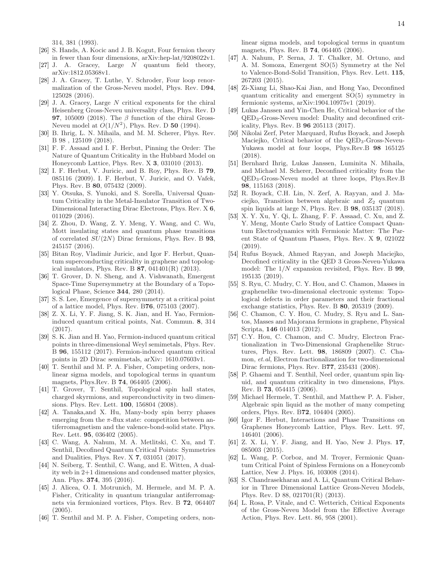314, 381 (1993).

- <span id="page-13-0"></span>[26] S. Hands, A. Kocic and J. B. Kogut, Four fermion theory in fewer than four dimensions, arXiv:hep-lat/9208022v1.
- <span id="page-13-1"></span>[27] J. A. Gracey, Large N quantum field theory, arXiv:1812.05368v1.
- <span id="page-13-2"></span>[28] J. A. Gracey, T. Luthe, Y. Schroder, Four loop renormalization of the Gross-Neveu model, Phys. Rev. D94, 125028 (2016).
- <span id="page-13-3"></span>[29] J. A. Gracey, Large N critical exponents for the chiral Heisenberg Gross-Neveu universality class, Phys. Rev. D **97**, 105009 (2018). The  $\beta$  function of the chiral Gross-Neveu model at  $O(1/N^2)$ , Phys. Rev. D 50 (1994).
- <span id="page-13-4"></span>[30] B. Ihrig, L. N. Mihaila, and M. M. Scherer, Phys. Rev. B 98 , 125109 (2018).
- <span id="page-13-5"></span>[31] F. F. Assaad and I. F. Herbut, Pinning the Order: The Nature of Quantum Criticality in the Hubbard Model on Honeycomb Lattice, Phys. Rev. X 3, 031010 (2013).
- [32] I. F. Herbut, V. Juricic, and B. Roy, Phys. Rev. B 79, 085116 (2009). I. F. Herbut, V. Juricic, and O. Vafek, Phys. Rev. B 80, 075432 (2009).
- <span id="page-13-31"></span>[33] Y. Otsuka, S. Yunoki, and S. Sorella, Universal Quantum Criticality in the Metal-Insulator Transition of Two-Dimensional Interacting Dirac Electrons, Phys. Rev. X 6, 011029 (2016).
- <span id="page-13-6"></span>[34] Z. Zhou, D. Wang, Z. Y. Meng, Y. Wang, and C. Wu, Mott insulating states and quantum phase transitions of correlated  $SU(2N)$  Dirac fermions, Phys. Rev. B 93, 245157 (2016).
- <span id="page-13-7"></span>[35] Bitan Roy, Vladimir Juricic, and Igor F. Herbut, Quantum superconducting criticality in graphene and topological insulators, Phys. Rev. B 87, 041401(R) (2013).
- <span id="page-13-8"></span>[36] T. Grover, D. N. Sheng, and A. Vishwanath, Emergent Space-Time Supersymmetry at the Boundary of a Topological Phase, Science 344, 280 (2014).
- <span id="page-13-9"></span>[37] S. S. Lee, Emergence of supersymmetry at a critical point of a lattice model, Phys. Rev. B76, 075103 (2007).
- <span id="page-13-10"></span>[38] Z. X. Li, Y. F. Jiang, S. K. Jian, and H. Yao, Fermioninduced quantum critical points, Nat. Commun. 8, 314  $(2017)$ .
- <span id="page-13-11"></span>[39] S. K. Jian and H. Yao, Fermion-induced quantum critical points in three-dimensional Weyl semimetals, Phys. Rev. B 96, 155112 (2017). Fermion-induced quantum critical points in 2D Dirac semimetals, arXiv: 1610.07603v1.
- <span id="page-13-12"></span>[40] T. Senthil and M. P. A. Fisher, Competing orders, nonlinear sigma models, and topological terms in quantum magnets, Phys.Rev. B 74, 064405 (2006).
- [41] T. Grover, T. Senthil, Topological spin hall states, charged skyrmions, and superconductivity in two dimensions. Phys. Rev. Lett. 100, 156804 (2008).
- <span id="page-13-13"></span>[42] A. Tanaka,and X. Hu, Many-body spin berry phases emerging from the  $\pi$ -flux state: competition between antiferromagnetism and the valence-bond-solid state. Phys. Rev. Lett. 95, 036402 (2005).
- <span id="page-13-14"></span>[43] C. Wang, A. Nahum, M. A. Metlitski, C. Xu, and T. Senthil, Decofined Quantum Critical Points: Symmetries and Dualities, Phys. Rev. X 7, 031051 (2017).
- <span id="page-13-15"></span>[44] N. Seiberg, T. Senthil, C. Wang, and E. Witten, A duality web in 2+1 dimensions and condensed matter physics, Ann. Phys. 374, 395 (2016).
- <span id="page-13-16"></span>[45] J. Alicea, O. I. Motrunich, M. Hermele, and M. P. A. Fisher, Criticality in quantum triangular antiferromagnets via fermionized vortices, Phys. Rev. B 72, 064407  $(2005).$
- <span id="page-13-17"></span>[46] T. Senthil and M. P. A. Fisher, Competing orders, non-

linear sigma models, and topological terms in quantum magnets, Phys. Rev. B 74, 064405 (2006).

- <span id="page-13-18"></span>[47] A. Nahum, P. Serna, J. T. Chalker, M. Ortuno, and A. M. Somoza, Emergent SO(5) Symmetry at the Nel to Valence-Bond-Solid Transition, Phys. Rev. Lett. 115, 267203 (2015).
- <span id="page-13-19"></span>[48] Zi-Xiang Li, Shao-Kai Jian, and Hong Yao, Deconfined quantum criticality and emergent SO(5) symmetry in fermionic systems, arXiv:1904.10975v1 (2019).
- <span id="page-13-20"></span>[49] Lukas Janssen and Yin-Chen He, Critical behavior of the QED3-Gross-Neveu model: Duality and deconfined criticality, Phys. Rev. B 96 205113 (2017).
- <span id="page-13-24"></span>[50] Nikolai Zerf, Peter Marquard, Rufus Boyack, and Joseph Maciejko, Critical behavior of the QED<sub>3</sub>-Gross-Neveu-Yukawa model at four loops, Phys.Rev.B 98 165125 (2018).
- <span id="page-13-21"></span>[51] Bernhard Ihrig, Lukas Janssen, Luminita N. Mihaila, and Michael M. Scherer, Deconfined criticality from the QED3-Gross-Neveu model at three loops, Phys.Rev.B 98, 115163 (2018).
- <span id="page-13-22"></span>[52] R. Boyack, C.H. Lin, N. Zerf, A. Rayyan, and J. Maciejko, Transition between algebraic and  $Z_2$  quantum spin liquids at large N, Phys. Rev. B 98, 035137 (2018).
- <span id="page-13-23"></span>[53] X. Y. Xu, Y. Qi, L. Zhang, F. F. Assaad, C. Xu, and Z. Y. Meng, Monte Carlo Study of Lattice Compact Quantum Electrodynamics with Fermionic Matter: The Parent State of Quantum Phases, Phys. Rev. X 9, 021022 (2019).
- <span id="page-13-25"></span>[54] Rufus Boyack, Ahmed Rayyan, and Joseph Maciejko, Decofined criticality in the QED 3 Gross-Neveu-Yukawa model: The  $1/N$  expansion revisited, Phys. Rev. B **99**, 195135 (2019).
- <span id="page-13-26"></span>[55] S. Ryu, C. Mudry, C. Y. Hou, and C. Chamon, Masses in graphenelike two-dimensional electronic systems: Topological defects in order parameters and their fractional exchange statistics, Phys. Rev. B 80, 205319 (2009).
- <span id="page-13-27"></span>[56] C. Chamon, C. Y. Hou, C. Mudry, S. Ryu and L. Santos, Masses and Majorana fermions in graphene, Physical Scripta, 146 014013 (2012).
- <span id="page-13-28"></span>[57] C.Y. Hou, C. Chamon, and C. Mudry, Electron Fractionalization in Two-Dimensional Graphenelike Structures, Phys. Rev. Lett. 98, 186809 (2007). C. Chamon, et.al, Electron fractionalization for two-dimensional Dirac fermions, Phys. Rev. B77, 235431 (2008).
- [58] P. Ghaemi and T. Senthil, Neel order, quantum spin liquid, and quantum criticality in two dimensions, Phys. Rev. B 73, 054415 (2006).
- <span id="page-13-29"></span>[59] Michael Hermele, T. Senthil, and Matthew P. A. Fisher, Algebraic spin liquid as the mother of many competing orders, Phys. Rev. B72, 104404 (2005).
- <span id="page-13-30"></span>[60] Igor F. Herbut, Interactions and Phase Transitions on Graphenes Honeycomb Lattice, Phys. Rev. Lett. 97, 146401 (2006).
- [61] Z. X. Li, Y. F. Jiang, and H. Yao, New J. Phys. 17, 085003 (2015).
- [62] L. Wang, P. Corboz, and M. Troyer, Fermionic Quantum Critical Point of Spinless Fermions on a Honeycomb Lattice, New J. Phys. 16, 103008 (2014).
- [63] S. Chandrasekharan and A. Li, Quantum Critical Behavior in Three Dimensional Lattice Gross-Neveu Models, Phys. Rev. D 88, 021701(R) (2013).
- [64] L. Rosa, P. Vitale, and C. Wetterich, Critical Exponents of the Gross-Neveu Model from the Effective Average Action, Phys. Rev. Lett. 86, 958 (2001).